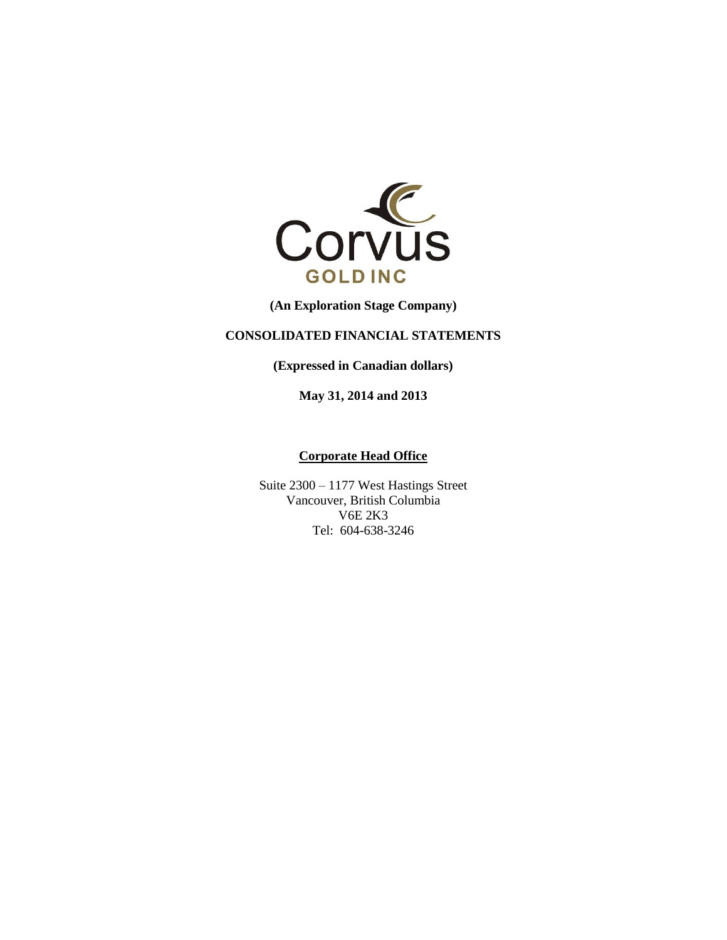

**(An Exploration Stage Company)**

# **CONSOLIDATED FINANCIAL STATEMENTS**

**(Expressed in Canadian dollars)**

**May 31, 2014 and 2013**

## **Corporate Head Office**

Suite 2300 – 1177 West Hastings Street Vancouver, British Columbia V6E 2K3 Tel: 604-638-3246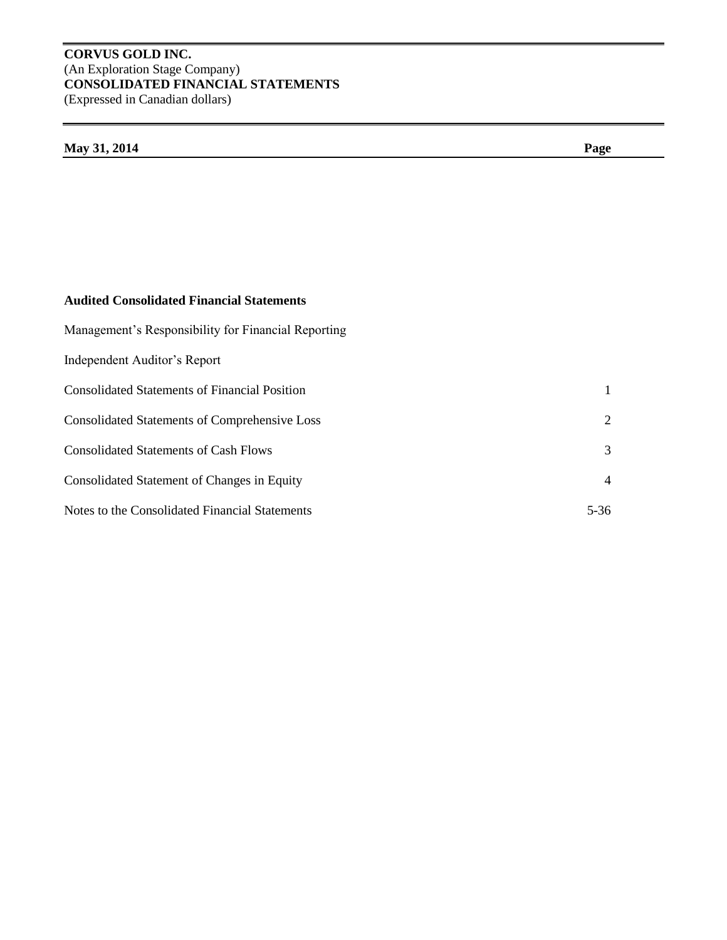# **CORVUS GOLD INC.** (An Exploration Stage Company) **CONSOLIDATED FINANCIAL STATEMENTS** (Expressed in Canadian dollars)

# **May 31, 2014 Page**

# **Audited Consolidated Financial Statements**

| Management's Responsibility for Financial Reporting  |                |
|------------------------------------------------------|----------------|
| Independent Auditor's Report                         |                |
| <b>Consolidated Statements of Financial Position</b> | 1              |
| <b>Consolidated Statements of Comprehensive Loss</b> | $\overline{2}$ |
| <b>Consolidated Statements of Cash Flows</b>         | 3              |
| Consolidated Statement of Changes in Equity          | $\overline{4}$ |
| Notes to the Consolidated Financial Statements       | $5 - 36$       |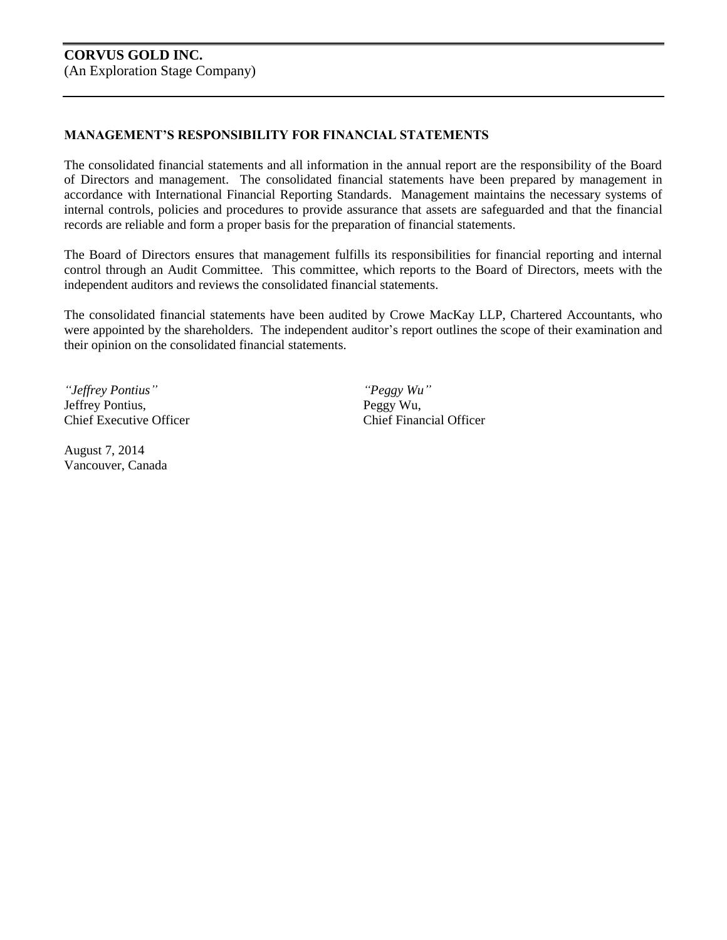# **MANAGEMENT'S RESPONSIBILITY FOR FINANCIAL STATEMENTS**

The consolidated financial statements and all information in the annual report are the responsibility of the Board of Directors and management. The consolidated financial statements have been prepared by management in accordance with International Financial Reporting Standards. Management maintains the necessary systems of internal controls, policies and procedures to provide assurance that assets are safeguarded and that the financial records are reliable and form a proper basis for the preparation of financial statements.

The Board of Directors ensures that management fulfills its responsibilities for financial reporting and internal control through an Audit Committee. This committee, which reports to the Board of Directors, meets with the independent auditors and reviews the consolidated financial statements.

The consolidated financial statements have been audited by Crowe MacKay LLP, Chartered Accountants, who were appointed by the shareholders. The independent auditor's report outlines the scope of their examination and their opinion on the consolidated financial statements.

*"Jeffrey Pontius" "Peggy Wu"* Jeffrey Pontius, Peggy Wu, Chief Executive Officer Chief Financial Officer

August 7, 2014 Vancouver, Canada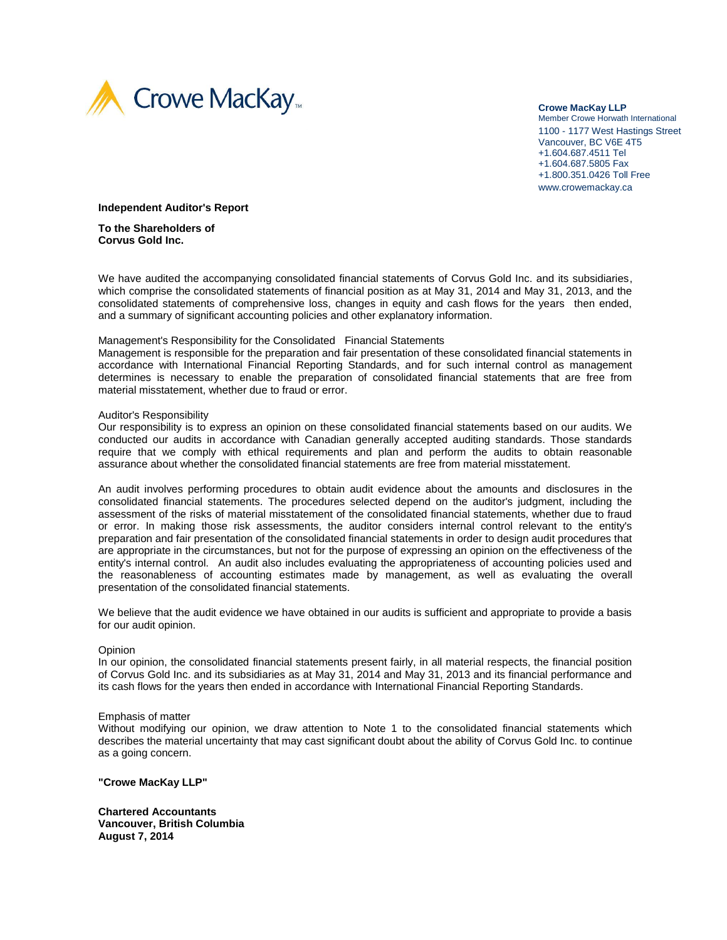

**Crowe MacKay LLP** Member Crowe Horwath International 1100 - 1177 West Hastings Street Vancouver, BC V6E 4T5 +1.604.687.4511 Tel +1.604.687.5805 Fax +1.800.351.0426 Toll Free www.crowemackay.ca

#### **Independent Auditor's Report**

**To the Shareholders of Corvus Gold Inc.**

We have audited the accompanying consolidated financial statements of Corvus Gold Inc. and its subsidiaries, which comprise the consolidated statements of financial position as at May 31, 2014 and May 31, 2013, and the consolidated statements of comprehensive loss, changes in equity and cash flows for the years then ended, and a summary of significant accounting policies and other explanatory information.

#### Management's Responsibility for the Consolidated Financial Statements

Management is responsible for the preparation and fair presentation of these consolidated financial statements in accordance with International Financial Reporting Standards, and for such internal control as management determines is necessary to enable the preparation of consolidated financial statements that are free from material misstatement, whether due to fraud or error.

#### Auditor's Responsibility

Our responsibility is to express an opinion on these consolidated financial statements based on our audits. We conducted our audits in accordance with Canadian generally accepted auditing standards. Those standards require that we comply with ethical requirements and plan and perform the audits to obtain reasonable assurance about whether the consolidated financial statements are free from material misstatement.

An audit involves performing procedures to obtain audit evidence about the amounts and disclosures in the consolidated financial statements. The procedures selected depend on the auditor's judgment, including the assessment of the risks of material misstatement of the consolidated financial statements, whether due to fraud or error. In making those risk assessments, the auditor considers internal control relevant to the entity's preparation and fair presentation of the consolidated financial statements in order to design audit procedures that are appropriate in the circumstances, but not for the purpose of expressing an opinion on the effectiveness of the entity's internal control. An audit also includes evaluating the appropriateness of accounting policies used and the reasonableness of accounting estimates made by management, as well as evaluating the overall presentation of the consolidated financial statements.

We believe that the audit evidence we have obtained in our audits is sufficient and appropriate to provide a basis for our audit opinion.

#### **Opinion**

In our opinion, the consolidated financial statements present fairly, in all material respects, the financial position of Corvus Gold Inc. and its subsidiaries as at May 31, 2014 and May 31, 2013 and its financial performance and its cash flows for the years then ended in accordance with International Financial Reporting Standards.

#### Emphasis of matter

Without modifying our opinion, we draw attention to Note 1 to the consolidated financial statements which describes the material uncertainty that may cast significant doubt about the ability of Corvus Gold Inc. to continue as a going concern.

**"Crowe MacKay LLP"**

**Chartered Accountants Vancouver, British Columbia August 7, 2014**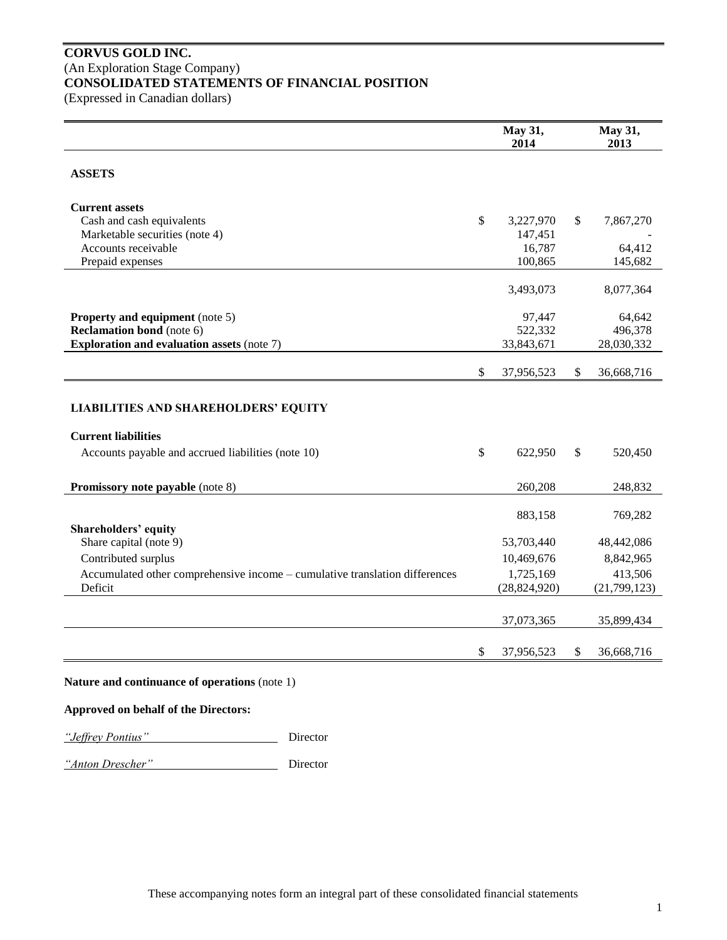# **CORVUS GOLD INC.** (An Exploration Stage Company) **CONSOLIDATED STATEMENTS OF FINANCIAL POSITION**

(Expressed in Canadian dollars)

|                                                                                        | May 31,<br>2014             | May 31,<br>2013         |
|----------------------------------------------------------------------------------------|-----------------------------|-------------------------|
| <b>ASSETS</b>                                                                          |                             |                         |
| <b>Current assets</b><br>Cash and cash equivalents                                     | \$<br>3,227,970             | \$<br>7,867,270         |
| Marketable securities (note 4)<br>Accounts receivable                                  | 147,451<br>16,787           | 64,412                  |
| Prepaid expenses                                                                       | 100,865                     | 145,682                 |
|                                                                                        | 3,493,073                   | 8,077,364               |
| <b>Property and equipment</b> (note 5)                                                 | 97,447                      | 64,642                  |
| <b>Reclamation bond</b> (note 6)<br><b>Exploration and evaluation assets (note 7)</b>  | 522,332<br>33,843,671       | 496,378<br>28,030,332   |
|                                                                                        | \$<br>37,956,523            | \$<br>36,668,716        |
| <b>LIABILITIES AND SHAREHOLDERS' EQUITY</b>                                            |                             |                         |
| <b>Current liabilities</b>                                                             |                             |                         |
| Accounts payable and accrued liabilities (note 10)                                     | \$<br>622,950               | \$<br>520,450           |
| Promissory note payable (note 8)                                                       | 260,208                     | 248,832                 |
|                                                                                        | 883,158                     | 769,282                 |
| Shareholders' equity<br>Share capital (note 9)                                         | 53,703,440                  | 48,442,086              |
| Contributed surplus                                                                    | 10,469,676                  | 8,842,965               |
| Accumulated other comprehensive income - cumulative translation differences<br>Deficit | 1,725,169<br>(28, 824, 920) | 413,506<br>(21,799,123) |
|                                                                                        | 37,073,365                  | 35,899,434              |
|                                                                                        |                             |                         |
|                                                                                        | \$<br>37,956,523            | \$<br>36,668,716        |

### **Nature and continuance of operations** (note 1)

## **Approved on behalf of the Directors:**

*"Jeffrey Pontius"* Director

*"Anton Drescher"* Director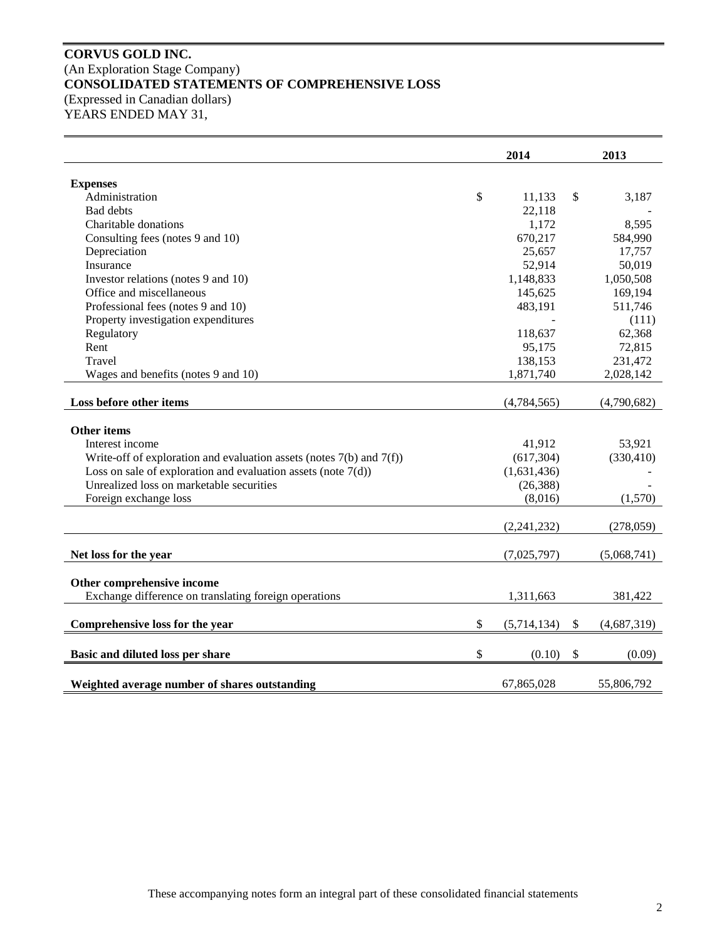# **CORVUS GOLD INC.** (An Exploration Stage Company) **CONSOLIDATED STATEMENTS OF COMPREHENSIVE LOSS** (Expressed in Canadian dollars)

YEARS ENDED MAY 31,

|                                                                           | 2014              |              | 2013        |
|---------------------------------------------------------------------------|-------------------|--------------|-------------|
| <b>Expenses</b>                                                           |                   |              |             |
| Administration                                                            | \$<br>11,133      | \$           | 3,187       |
| Bad debts                                                                 | 22,118            |              |             |
| Charitable donations                                                      | 1,172             |              | 8,595       |
| Consulting fees (notes 9 and 10)                                          | 670,217           |              | 584,990     |
| Depreciation                                                              | 25,657            |              | 17,757      |
| Insurance                                                                 | 52,914            |              | 50,019      |
| Investor relations (notes 9 and 10)                                       | 1,148,833         |              | 1,050,508   |
| Office and miscellaneous                                                  | 145,625           |              | 169,194     |
| Professional fees (notes 9 and 10)                                        | 483,191           |              | 511,746     |
| Property investigation expenditures                                       |                   |              | (111)       |
| Regulatory                                                                | 118,637           |              | 62,368      |
| Rent                                                                      | 95,175            |              | 72,815      |
| Travel                                                                    | 138,153           |              | 231,472     |
| Wages and benefits (notes 9 and 10)                                       | 1,871,740         |              | 2,028,142   |
|                                                                           |                   |              |             |
| Loss before other items                                                   | (4,784,565)       |              | (4,790,682) |
| <b>Other items</b>                                                        |                   |              |             |
| Interest income                                                           | 41,912            |              | 53,921      |
| Write-off of exploration and evaluation assets (notes $7(b)$ and $7(f)$ ) | (617, 304)        |              | (330, 410)  |
| Loss on sale of exploration and evaluation assets (note $7(d)$ )          | (1,631,436)       |              |             |
| Unrealized loss on marketable securities                                  | (26, 388)         |              |             |
| Foreign exchange loss                                                     | (8,016)           |              | (1,570)     |
|                                                                           |                   |              |             |
|                                                                           | (2,241,232)       |              | (278,059)   |
| Net loss for the year                                                     | (7,025,797)       |              | (5,068,741) |
|                                                                           |                   |              |             |
| Other comprehensive income                                                |                   |              |             |
| Exchange difference on translating foreign operations                     | 1,311,663         |              | 381,422     |
|                                                                           |                   |              |             |
| Comprehensive loss for the year                                           | \$<br>(5,714,134) | $\mathbb{S}$ | (4,687,319) |
| Basic and diluted loss per share                                          | \$<br>(0.10)      | \$           | (0.09)      |
|                                                                           |                   |              |             |
| Weighted average number of shares outstanding                             | 67,865,028        |              | 55,806,792  |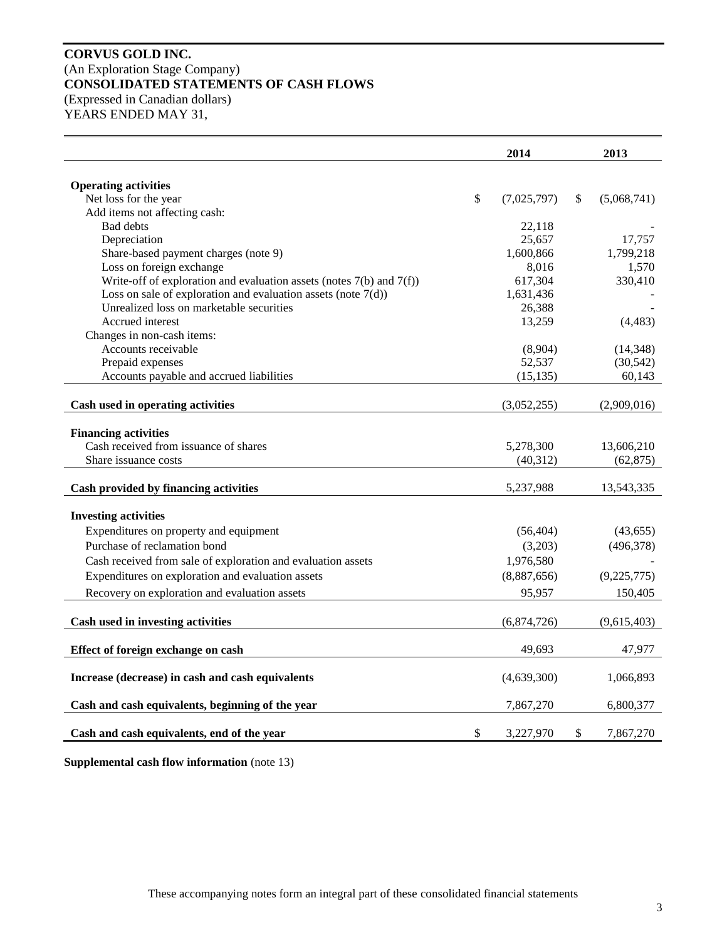# **CORVUS GOLD INC.** (An Exploration Stage Company) **CONSOLIDATED STATEMENTS OF CASH FLOWS** (Expressed in Canadian dollars)

YEARS ENDED MAY 31,

|                                                                           |               | 2014        | 2013              |
|---------------------------------------------------------------------------|---------------|-------------|-------------------|
| <b>Operating activities</b>                                               |               |             |                   |
| Net loss for the year                                                     | $\mathcal{S}$ | (7,025,797) | \$<br>(5,068,741) |
| Add items not affecting cash:                                             |               |             |                   |
| <b>Bad debts</b>                                                          |               | 22,118      |                   |
| Depreciation                                                              |               | 25,657      | 17,757            |
| Share-based payment charges (note 9)                                      |               | 1,600,866   | 1,799,218         |
| Loss on foreign exchange                                                  |               | 8,016       | 1,570             |
| Write-off of exploration and evaluation assets (notes $7(b)$ and $7(f)$ ) |               | 617,304     | 330,410           |
| Loss on sale of exploration and evaluation assets (note $7(d)$ )          |               | 1,631,436   |                   |
| Unrealized loss on marketable securities                                  |               | 26,388      |                   |
| Accrued interest                                                          |               | 13,259      | (4, 483)          |
| Changes in non-cash items:                                                |               |             |                   |
| Accounts receivable                                                       |               | (8,904)     | (14, 348)         |
| Prepaid expenses                                                          |               | 52,537      | (30, 542)         |
| Accounts payable and accrued liabilities                                  |               | (15, 135)   | 60,143            |
|                                                                           |               |             |                   |
| Cash used in operating activities                                         |               | (3,052,255) | (2,909,016)       |
| <b>Financing activities</b>                                               |               |             |                   |
| Cash received from issuance of shares                                     |               | 5,278,300   | 13,606,210        |
| Share issuance costs                                                      |               | (40, 312)   | (62, 875)         |
|                                                                           |               |             |                   |
| Cash provided by financing activities                                     |               | 5,237,988   | 13,543,335        |
| <b>Investing activities</b>                                               |               |             |                   |
| Expenditures on property and equipment                                    |               | (56, 404)   | (43, 655)         |
| Purchase of reclamation bond                                              |               | (3,203)     | (496,378)         |
| Cash received from sale of exploration and evaluation assets              |               | 1,976,580   |                   |
| Expenditures on exploration and evaluation assets                         |               | (8,887,656) | (9,225,775)       |
| Recovery on exploration and evaluation assets                             |               | 95,957      | 150,405           |
|                                                                           |               |             |                   |
| Cash used in investing activities                                         |               | (6,874,726) | (9,615,403)       |
| Effect of foreign exchange on cash                                        |               | 49,693      | 47,977            |
| Increase (decrease) in cash and cash equivalents                          |               | (4,639,300) | 1,066,893         |
| Cash and cash equivalents, beginning of the year                          |               | 7,867,270   | 6,800,377         |
| Cash and cash equivalents, end of the year                                | \$            | 3,227,970   | \$<br>7,867,270   |

**Supplemental cash flow information** (note 13)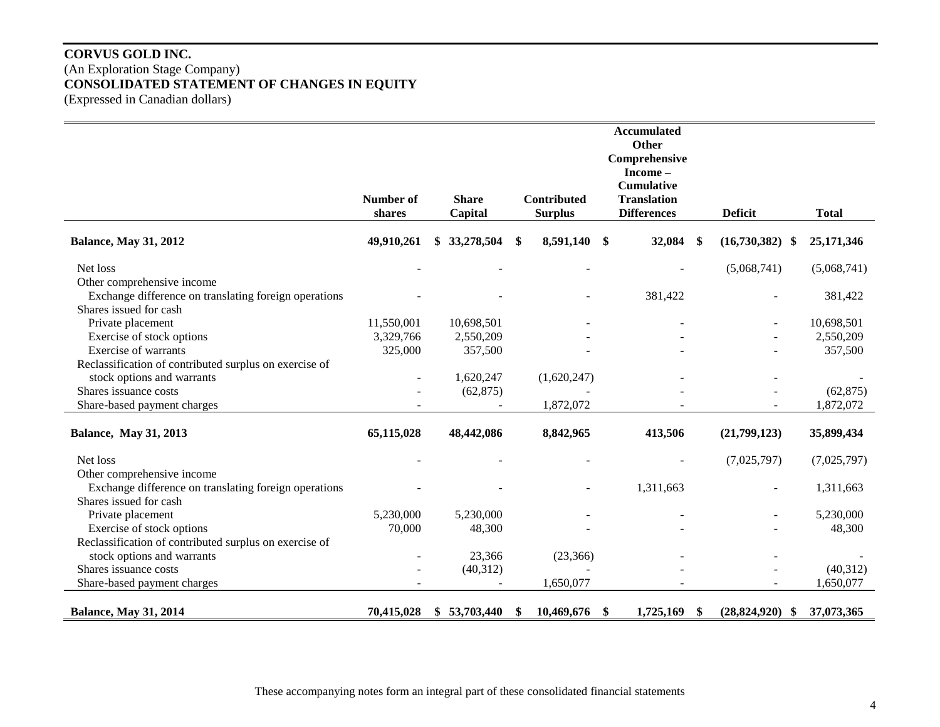# **CORVUS GOLD INC.** (An Exploration Stage Company) **CONSOLIDATED STATEMENT OF CHANGES IN EQUITY** (Expressed in Canadian dollars)

|                                                                                                               | Number of<br>shares | <b>Share</b><br>Capital |    | <b>Contributed</b><br><b>Surplus</b> | <b>Accumulated</b><br><b>Other</b><br>Comprehensive<br>Income-<br><b>Cumulative</b><br><b>Translation</b><br><b>Differences</b> | <b>Deficit</b>               | <b>Total</b> |
|---------------------------------------------------------------------------------------------------------------|---------------------|-------------------------|----|--------------------------------------|---------------------------------------------------------------------------------------------------------------------------------|------------------------------|--------------|
| <b>Balance, May 31, 2012</b>                                                                                  | 49,910,261          | \$33,278,504            | \$ | 8,591,140                            | 32,084 \$<br>\$                                                                                                                 | $(16,730,382)$ \$            | 25,171,346   |
| Net loss                                                                                                      |                     |                         |    |                                      |                                                                                                                                 | (5,068,741)                  | (5,068,741)  |
| Other comprehensive income<br>Exchange difference on translating foreign operations<br>Shares issued for cash |                     |                         |    |                                      | 381,422                                                                                                                         |                              | 381,422      |
| Private placement                                                                                             | 11,550,001          | 10,698,501              |    |                                      |                                                                                                                                 |                              | 10,698,501   |
| Exercise of stock options                                                                                     | 3,329,766           | 2,550,209               |    |                                      |                                                                                                                                 |                              | 2,550,209    |
| <b>Exercise of warrants</b>                                                                                   | 325,000             | 357,500                 |    |                                      |                                                                                                                                 |                              | 357,500      |
| Reclassification of contributed surplus on exercise of                                                        |                     |                         |    |                                      |                                                                                                                                 |                              |              |
| stock options and warrants                                                                                    |                     | 1,620,247               |    | (1,620,247)                          |                                                                                                                                 |                              |              |
| Shares issuance costs                                                                                         |                     | (62, 875)               |    |                                      |                                                                                                                                 |                              | (62, 875)    |
| Share-based payment charges                                                                                   |                     |                         |    | 1,872,072                            |                                                                                                                                 |                              | 1,872,072    |
| <b>Balance, May 31, 2013</b>                                                                                  | 65,115,028          | 48,442,086              |    | 8,842,965                            | 413,506                                                                                                                         | (21,799,123)                 | 35,899,434   |
| Net loss                                                                                                      |                     |                         |    |                                      |                                                                                                                                 | (7,025,797)                  | (7,025,797)  |
| Other comprehensive income                                                                                    |                     |                         |    |                                      |                                                                                                                                 |                              |              |
| Exchange difference on translating foreign operations                                                         |                     |                         |    |                                      | 1,311,663                                                                                                                       |                              | 1,311,663    |
| Shares issued for cash                                                                                        |                     |                         |    |                                      |                                                                                                                                 |                              |              |
| Private placement                                                                                             | 5,230,000           | 5,230,000               |    |                                      |                                                                                                                                 |                              | 5,230,000    |
| Exercise of stock options                                                                                     | 70,000              | 48,300                  |    |                                      |                                                                                                                                 |                              | 48,300       |
| Reclassification of contributed surplus on exercise of                                                        |                     |                         |    |                                      |                                                                                                                                 |                              |              |
| stock options and warrants                                                                                    |                     | 23,366                  |    | (23, 366)                            |                                                                                                                                 |                              |              |
| Shares issuance costs                                                                                         |                     | (40, 312)               |    |                                      |                                                                                                                                 |                              | (40,312)     |
| Share-based payment charges                                                                                   |                     |                         |    | 1,650,077                            |                                                                                                                                 |                              | 1,650,077    |
| <b>Balance, May 31, 2014</b>                                                                                  | 70,415,028          | \$53,703,440            | S  | 10,469,676                           | 1,725,169<br>\$                                                                                                                 | \$<br>(28, 824, 920)<br>- \$ | 37,073,365   |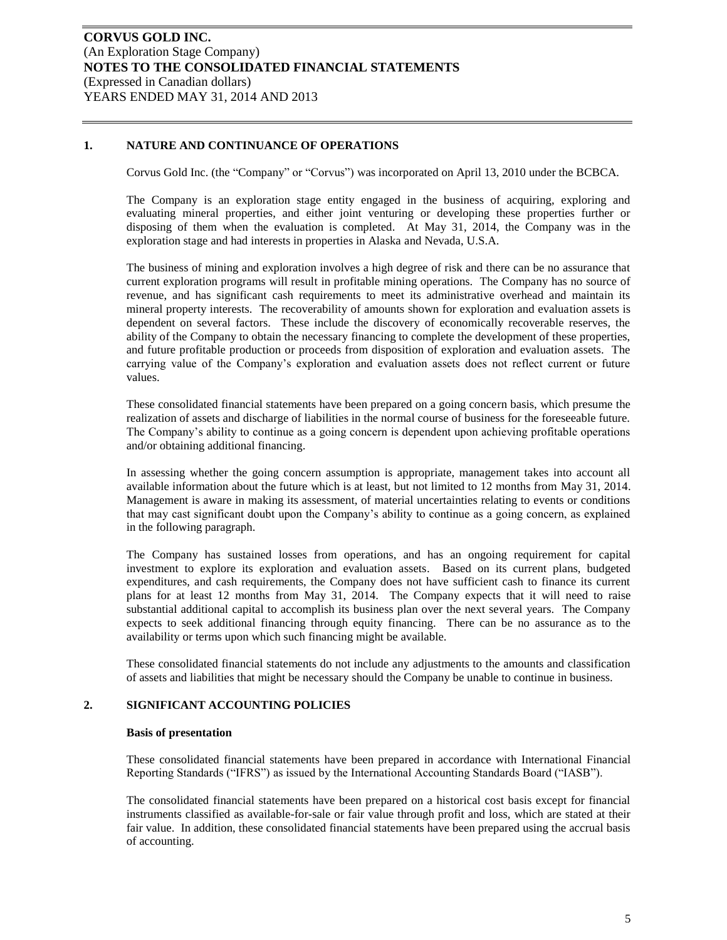### **1. NATURE AND CONTINUANCE OF OPERATIONS**

Corvus Gold Inc. (the "Company" or "Corvus") was incorporated on April 13, 2010 under the BCBCA.

The Company is an exploration stage entity engaged in the business of acquiring, exploring and evaluating mineral properties, and either joint venturing or developing these properties further or disposing of them when the evaluation is completed. At May 31, 2014, the Company was in the exploration stage and had interests in properties in Alaska and Nevada, U.S.A.

The business of mining and exploration involves a high degree of risk and there can be no assurance that current exploration programs will result in profitable mining operations. The Company has no source of revenue, and has significant cash requirements to meet its administrative overhead and maintain its mineral property interests. The recoverability of amounts shown for exploration and evaluation assets is dependent on several factors. These include the discovery of economically recoverable reserves, the ability of the Company to obtain the necessary financing to complete the development of these properties, and future profitable production or proceeds from disposition of exploration and evaluation assets. The carrying value of the Company's exploration and evaluation assets does not reflect current or future values.

These consolidated financial statements have been prepared on a going concern basis, which presume the realization of assets and discharge of liabilities in the normal course of business for the foreseeable future. The Company's ability to continue as a going concern is dependent upon achieving profitable operations and/or obtaining additional financing.

In assessing whether the going concern assumption is appropriate, management takes into account all available information about the future which is at least, but not limited to 12 months from May 31, 2014. Management is aware in making its assessment, of material uncertainties relating to events or conditions that may cast significant doubt upon the Company's ability to continue as a going concern, as explained in the following paragraph.

The Company has sustained losses from operations, and has an ongoing requirement for capital investment to explore its exploration and evaluation assets. Based on its current plans, budgeted expenditures, and cash requirements, the Company does not have sufficient cash to finance its current plans for at least 12 months from May 31, 2014. The Company expects that it will need to raise substantial additional capital to accomplish its business plan over the next several years. The Company expects to seek additional financing through equity financing. There can be no assurance as to the availability or terms upon which such financing might be available.

These consolidated financial statements do not include any adjustments to the amounts and classification of assets and liabilities that might be necessary should the Company be unable to continue in business.

#### **2. SIGNIFICANT ACCOUNTING POLICIES**

#### **Basis of presentation**

These consolidated financial statements have been prepared in accordance with International Financial Reporting Standards ("IFRS") as issued by the International Accounting Standards Board ("IASB").

The consolidated financial statements have been prepared on a historical cost basis except for financial instruments classified as available-for-sale or fair value through profit and loss, which are stated at their fair value. In addition, these consolidated financial statements have been prepared using the accrual basis of accounting.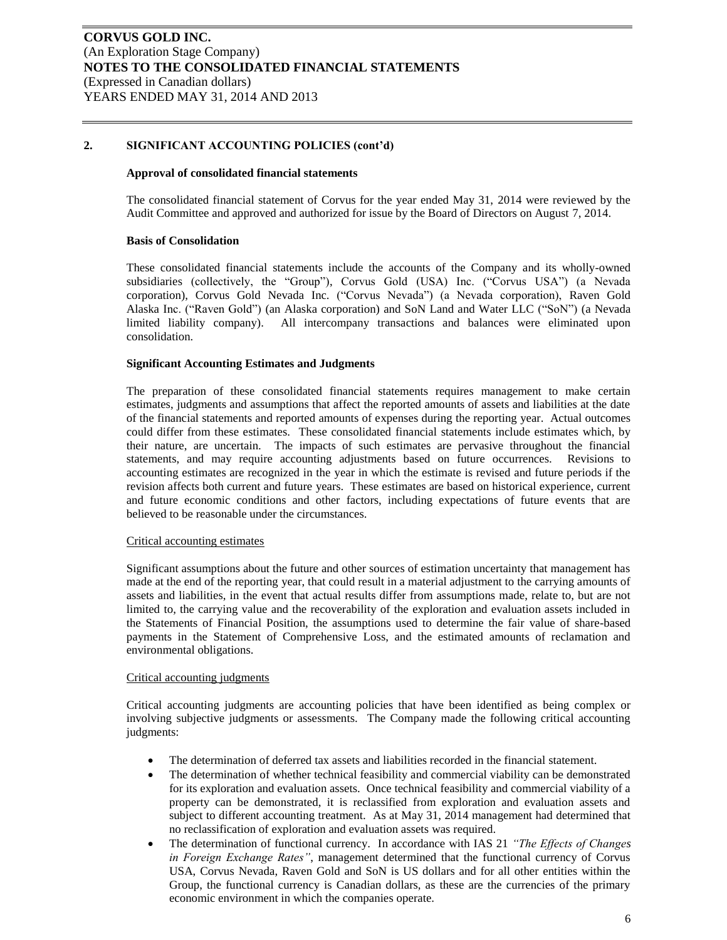#### **Approval of consolidated financial statements**

The consolidated financial statement of Corvus for the year ended May 31, 2014 were reviewed by the Audit Committee and approved and authorized for issue by the Board of Directors on August 7, 2014.

#### **Basis of Consolidation**

These consolidated financial statements include the accounts of the Company and its wholly-owned subsidiaries (collectively, the "Group"), Corvus Gold (USA) Inc. ("Corvus USA") (a Nevada corporation), Corvus Gold Nevada Inc. ("Corvus Nevada") (a Nevada corporation), Raven Gold Alaska Inc. ("Raven Gold") (an Alaska corporation) and SoN Land and Water LLC ("SoN") (a Nevada limited liability company). All intercompany transactions and balances were eliminated upon consolidation.

#### **Significant Accounting Estimates and Judgments**

The preparation of these consolidated financial statements requires management to make certain estimates, judgments and assumptions that affect the reported amounts of assets and liabilities at the date of the financial statements and reported amounts of expenses during the reporting year. Actual outcomes could differ from these estimates. These consolidated financial statements include estimates which, by their nature, are uncertain. The impacts of such estimates are pervasive throughout the financial statements, and may require accounting adjustments based on future occurrences. Revisions to accounting estimates are recognized in the year in which the estimate is revised and future periods if the revision affects both current and future years. These estimates are based on historical experience, current and future economic conditions and other factors, including expectations of future events that are believed to be reasonable under the circumstances.

#### Critical accounting estimates

Significant assumptions about the future and other sources of estimation uncertainty that management has made at the end of the reporting year, that could result in a material adjustment to the carrying amounts of assets and liabilities, in the event that actual results differ from assumptions made, relate to, but are not limited to, the carrying value and the recoverability of the exploration and evaluation assets included in the Statements of Financial Position, the assumptions used to determine the fair value of share-based payments in the Statement of Comprehensive Loss, and the estimated amounts of reclamation and environmental obligations.

#### Critical accounting judgments

Critical accounting judgments are accounting policies that have been identified as being complex or involving subjective judgments or assessments. The Company made the following critical accounting judgments:

- The determination of deferred tax assets and liabilities recorded in the financial statement.
- The determination of whether technical feasibility and commercial viability can be demonstrated for its exploration and evaluation assets. Once technical feasibility and commercial viability of a property can be demonstrated, it is reclassified from exploration and evaluation assets and subject to different accounting treatment. As at May 31, 2014 management had determined that no reclassification of exploration and evaluation assets was required.
- The determination of functional currency. In accordance with IAS 21 *"The Effects of Changes in Foreign Exchange Rates"*, management determined that the functional currency of Corvus USA, Corvus Nevada, Raven Gold and SoN is US dollars and for all other entities within the Group, the functional currency is Canadian dollars, as these are the currencies of the primary economic environment in which the companies operate.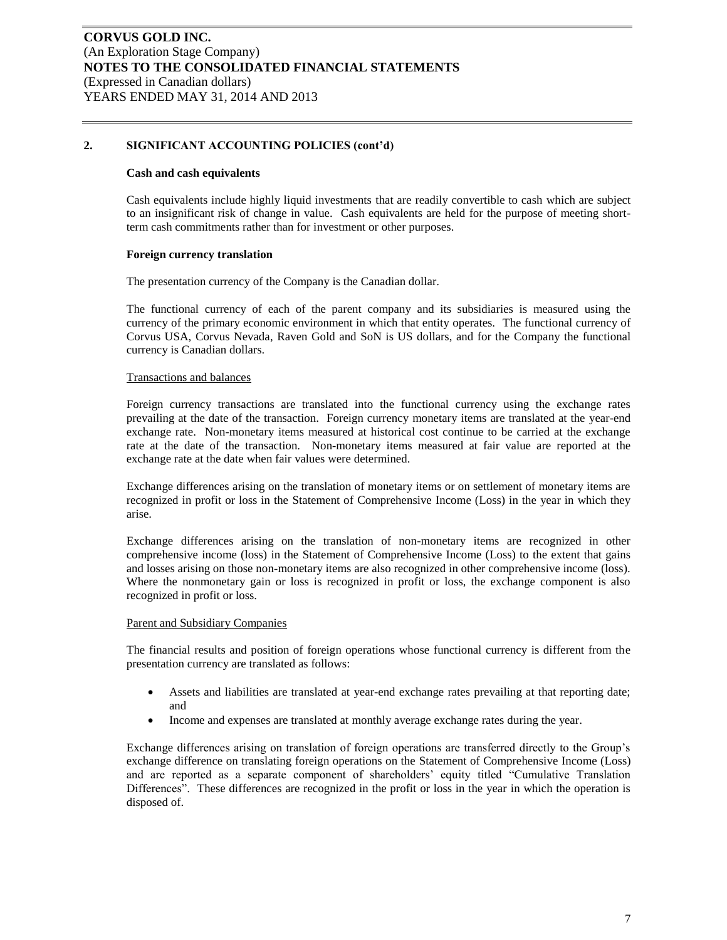#### **Cash and cash equivalents**

Cash equivalents include highly liquid investments that are readily convertible to cash which are subject to an insignificant risk of change in value. Cash equivalents are held for the purpose of meeting shortterm cash commitments rather than for investment or other purposes.

#### **Foreign currency translation**

The presentation currency of the Company is the Canadian dollar.

The functional currency of each of the parent company and its subsidiaries is measured using the currency of the primary economic environment in which that entity operates. The functional currency of Corvus USA, Corvus Nevada, Raven Gold and SoN is US dollars, and for the Company the functional currency is Canadian dollars.

#### Transactions and balances

Foreign currency transactions are translated into the functional currency using the exchange rates prevailing at the date of the transaction. Foreign currency monetary items are translated at the year-end exchange rate. Non-monetary items measured at historical cost continue to be carried at the exchange rate at the date of the transaction. Non-monetary items measured at fair value are reported at the exchange rate at the date when fair values were determined.

Exchange differences arising on the translation of monetary items or on settlement of monetary items are recognized in profit or loss in the Statement of Comprehensive Income (Loss) in the year in which they arise.

Exchange differences arising on the translation of non-monetary items are recognized in other comprehensive income (loss) in the Statement of Comprehensive Income (Loss) to the extent that gains and losses arising on those non-monetary items are also recognized in other comprehensive income (loss). Where the nonmonetary gain or loss is recognized in profit or loss, the exchange component is also recognized in profit or loss.

#### Parent and Subsidiary Companies

The financial results and position of foreign operations whose functional currency is different from the presentation currency are translated as follows:

- Assets and liabilities are translated at year-end exchange rates prevailing at that reporting date; and
- Income and expenses are translated at monthly average exchange rates during the year.

Exchange differences arising on translation of foreign operations are transferred directly to the Group's exchange difference on translating foreign operations on the Statement of Comprehensive Income (Loss) and are reported as a separate component of shareholders' equity titled "Cumulative Translation Differences". These differences are recognized in the profit or loss in the year in which the operation is disposed of.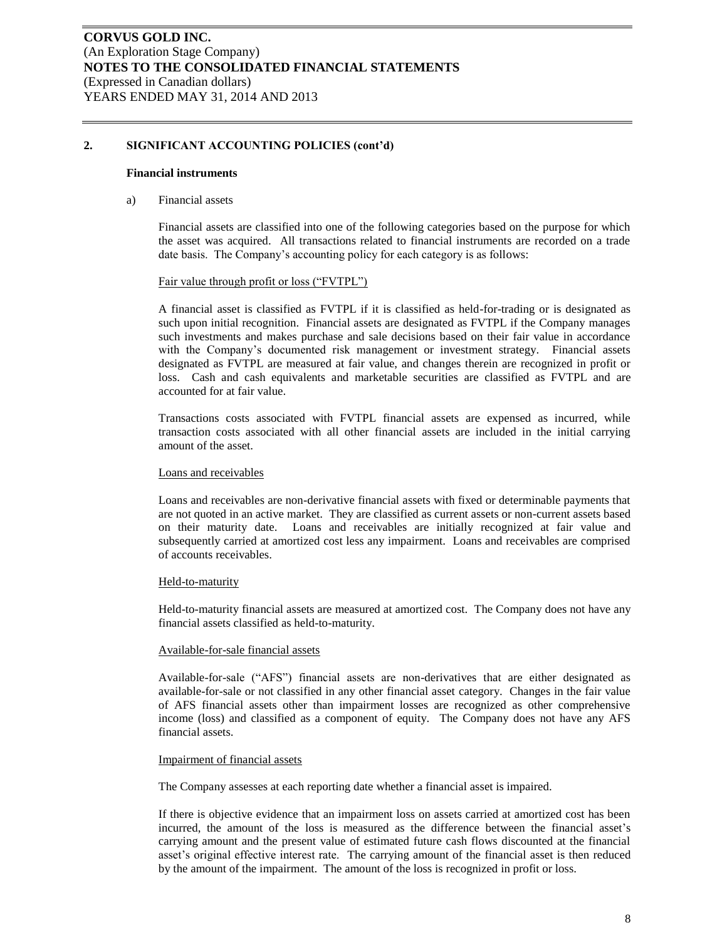#### **Financial instruments**

#### a) Financial assets

Financial assets are classified into one of the following categories based on the purpose for which the asset was acquired. All transactions related to financial instruments are recorded on a trade date basis. The Company's accounting policy for each category is as follows:

#### Fair value through profit or loss ("FVTPL")

A financial asset is classified as FVTPL if it is classified as held-for-trading or is designated as such upon initial recognition. Financial assets are designated as FVTPL if the Company manages such investments and makes purchase and sale decisions based on their fair value in accordance with the Company's documented risk management or investment strategy. Financial assets designated as FVTPL are measured at fair value, and changes therein are recognized in profit or loss. Cash and cash equivalents and marketable securities are classified as FVTPL and are accounted for at fair value.

Transactions costs associated with FVTPL financial assets are expensed as incurred, while transaction costs associated with all other financial assets are included in the initial carrying amount of the asset.

#### Loans and receivables

Loans and receivables are non-derivative financial assets with fixed or determinable payments that are not quoted in an active market. They are classified as current assets or non-current assets based on their maturity date. Loans and receivables are initially recognized at fair value and subsequently carried at amortized cost less any impairment. Loans and receivables are comprised of accounts receivables.

#### Held-to-maturity

Held-to-maturity financial assets are measured at amortized cost. The Company does not have any financial assets classified as held-to-maturity.

#### Available-for-sale financial assets

Available-for-sale ("AFS") financial assets are non-derivatives that are either designated as available-for-sale or not classified in any other financial asset category. Changes in the fair value of AFS financial assets other than impairment losses are recognized as other comprehensive income (loss) and classified as a component of equity. The Company does not have any AFS financial assets.

#### Impairment of financial assets

The Company assesses at each reporting date whether a financial asset is impaired.

If there is objective evidence that an impairment loss on assets carried at amortized cost has been incurred, the amount of the loss is measured as the difference between the financial asset's carrying amount and the present value of estimated future cash flows discounted at the financial asset's original effective interest rate. The carrying amount of the financial asset is then reduced by the amount of the impairment. The amount of the loss is recognized in profit or loss.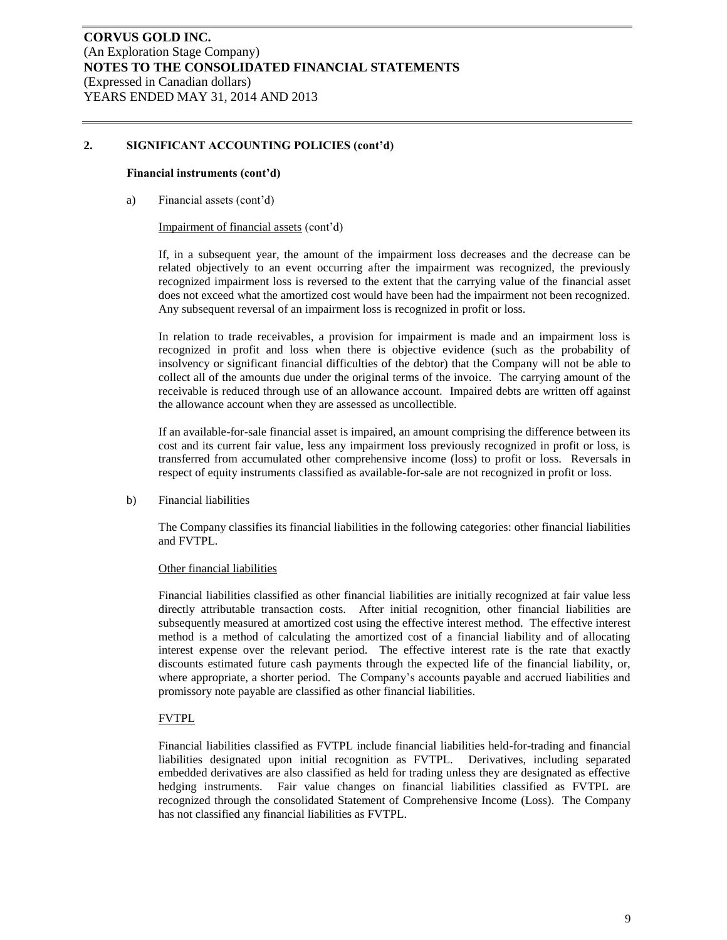#### **Financial instruments (cont'd)**

a) Financial assets (cont'd)

#### Impairment of financial assets (cont'd)

If, in a subsequent year, the amount of the impairment loss decreases and the decrease can be related objectively to an event occurring after the impairment was recognized, the previously recognized impairment loss is reversed to the extent that the carrying value of the financial asset does not exceed what the amortized cost would have been had the impairment not been recognized. Any subsequent reversal of an impairment loss is recognized in profit or loss.

In relation to trade receivables, a provision for impairment is made and an impairment loss is recognized in profit and loss when there is objective evidence (such as the probability of insolvency or significant financial difficulties of the debtor) that the Company will not be able to collect all of the amounts due under the original terms of the invoice. The carrying amount of the receivable is reduced through use of an allowance account. Impaired debts are written off against the allowance account when they are assessed as uncollectible.

If an available-for-sale financial asset is impaired, an amount comprising the difference between its cost and its current fair value, less any impairment loss previously recognized in profit or loss, is transferred from accumulated other comprehensive income (loss) to profit or loss. Reversals in respect of equity instruments classified as available-for-sale are not recognized in profit or loss.

b) Financial liabilities

The Company classifies its financial liabilities in the following categories: other financial liabilities and FVTPL.

#### Other financial liabilities

Financial liabilities classified as other financial liabilities are initially recognized at fair value less directly attributable transaction costs. After initial recognition, other financial liabilities are subsequently measured at amortized cost using the effective interest method. The effective interest method is a method of calculating the amortized cost of a financial liability and of allocating interest expense over the relevant period. The effective interest rate is the rate that exactly discounts estimated future cash payments through the expected life of the financial liability, or, where appropriate, a shorter period. The Company's accounts payable and accrued liabilities and promissory note payable are classified as other financial liabilities.

#### FVTPL

Financial liabilities classified as FVTPL include financial liabilities held-for-trading and financial liabilities designated upon initial recognition as FVTPL. Derivatives, including separated embedded derivatives are also classified as held for trading unless they are designated as effective hedging instruments. Fair value changes on financial liabilities classified as FVTPL are recognized through the consolidated Statement of Comprehensive Income (Loss). The Company has not classified any financial liabilities as FVTPL.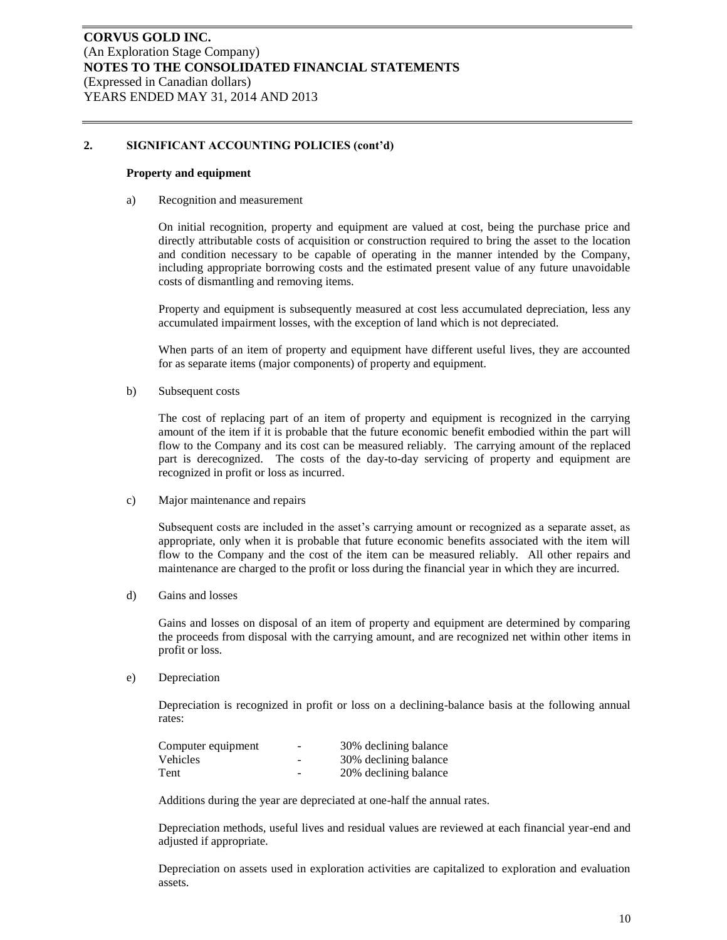#### **Property and equipment**

a) Recognition and measurement

On initial recognition, property and equipment are valued at cost, being the purchase price and directly attributable costs of acquisition or construction required to bring the asset to the location and condition necessary to be capable of operating in the manner intended by the Company, including appropriate borrowing costs and the estimated present value of any future unavoidable costs of dismantling and removing items.

Property and equipment is subsequently measured at cost less accumulated depreciation, less any accumulated impairment losses, with the exception of land which is not depreciated.

When parts of an item of property and equipment have different useful lives, they are accounted for as separate items (major components) of property and equipment.

b) Subsequent costs

The cost of replacing part of an item of property and equipment is recognized in the carrying amount of the item if it is probable that the future economic benefit embodied within the part will flow to the Company and its cost can be measured reliably. The carrying amount of the replaced part is derecognized. The costs of the day-to-day servicing of property and equipment are recognized in profit or loss as incurred.

c) Major maintenance and repairs

Subsequent costs are included in the asset's carrying amount or recognized as a separate asset, as appropriate, only when it is probable that future economic benefits associated with the item will flow to the Company and the cost of the item can be measured reliably. All other repairs and maintenance are charged to the profit or loss during the financial year in which they are incurred.

d) Gains and losses

Gains and losses on disposal of an item of property and equipment are determined by comparing the proceeds from disposal with the carrying amount, and are recognized net within other items in profit or loss.

e) Depreciation

Depreciation is recognized in profit or loss on a declining-balance basis at the following annual rates:

| Computer equipment | $\sim$ | 30% declining balance |
|--------------------|--------|-----------------------|
| <b>Vehicles</b>    | -      | 30% declining balance |
| Tent               | -      | 20% declining balance |

Additions during the year are depreciated at one-half the annual rates.

Depreciation methods, useful lives and residual values are reviewed at each financial year-end and adjusted if appropriate.

Depreciation on assets used in exploration activities are capitalized to exploration and evaluation assets.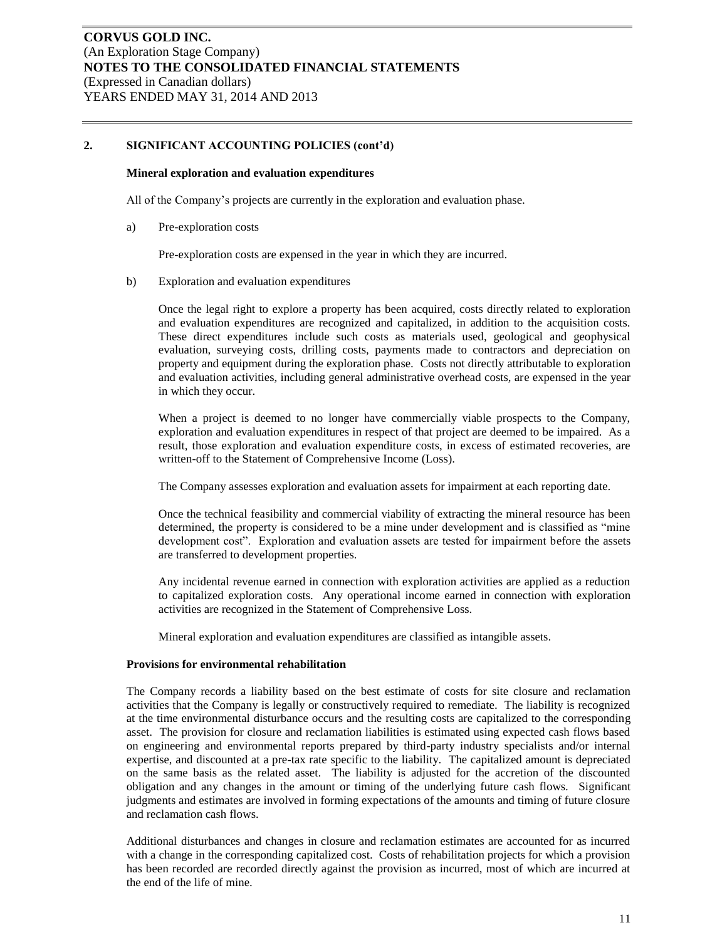### **Mineral exploration and evaluation expenditures**

All of the Company's projects are currently in the exploration and evaluation phase.

a) Pre-exploration costs

Pre-exploration costs are expensed in the year in which they are incurred.

b) Exploration and evaluation expenditures

Once the legal right to explore a property has been acquired, costs directly related to exploration and evaluation expenditures are recognized and capitalized, in addition to the acquisition costs. These direct expenditures include such costs as materials used, geological and geophysical evaluation, surveying costs, drilling costs, payments made to contractors and depreciation on property and equipment during the exploration phase. Costs not directly attributable to exploration and evaluation activities, including general administrative overhead costs, are expensed in the year in which they occur.

When a project is deemed to no longer have commercially viable prospects to the Company, exploration and evaluation expenditures in respect of that project are deemed to be impaired. As a result, those exploration and evaluation expenditure costs, in excess of estimated recoveries, are written-off to the Statement of Comprehensive Income (Loss).

The Company assesses exploration and evaluation assets for impairment at each reporting date.

Once the technical feasibility and commercial viability of extracting the mineral resource has been determined, the property is considered to be a mine under development and is classified as "mine development cost". Exploration and evaluation assets are tested for impairment before the assets are transferred to development properties.

Any incidental revenue earned in connection with exploration activities are applied as a reduction to capitalized exploration costs. Any operational income earned in connection with exploration activities are recognized in the Statement of Comprehensive Loss.

Mineral exploration and evaluation expenditures are classified as intangible assets.

#### **Provisions for environmental rehabilitation**

The Company records a liability based on the best estimate of costs for site closure and reclamation activities that the Company is legally or constructively required to remediate. The liability is recognized at the time environmental disturbance occurs and the resulting costs are capitalized to the corresponding asset. The provision for closure and reclamation liabilities is estimated using expected cash flows based on engineering and environmental reports prepared by third-party industry specialists and/or internal expertise, and discounted at a pre-tax rate specific to the liability. The capitalized amount is depreciated on the same basis as the related asset. The liability is adjusted for the accretion of the discounted obligation and any changes in the amount or timing of the underlying future cash flows. Significant judgments and estimates are involved in forming expectations of the amounts and timing of future closure and reclamation cash flows.

Additional disturbances and changes in closure and reclamation estimates are accounted for as incurred with a change in the corresponding capitalized cost. Costs of rehabilitation projects for which a provision has been recorded are recorded directly against the provision as incurred, most of which are incurred at the end of the life of mine.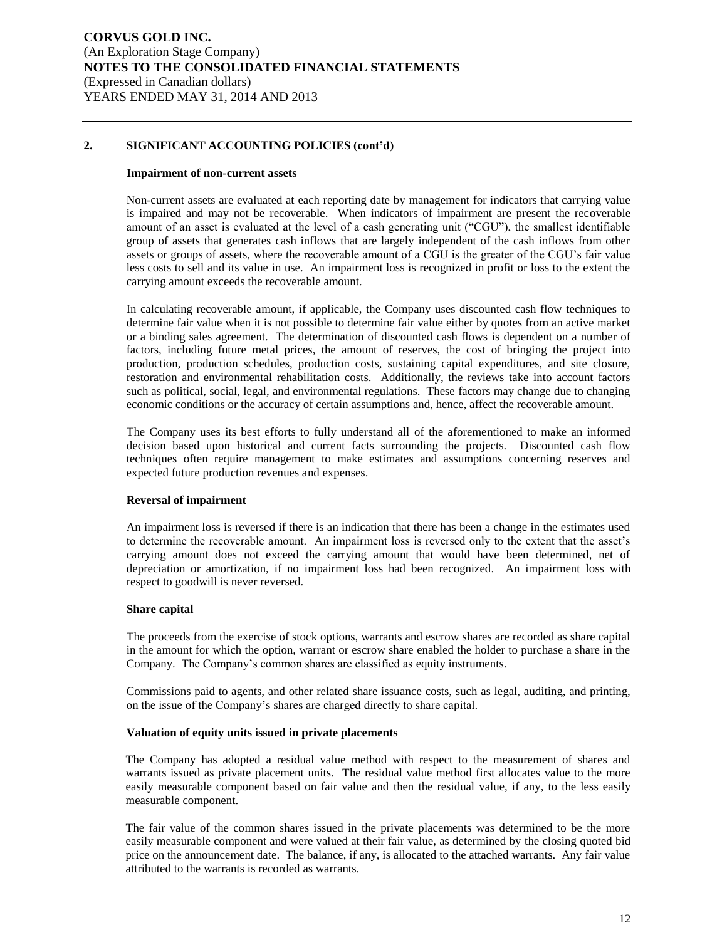#### **Impairment of non-current assets**

Non-current assets are evaluated at each reporting date by management for indicators that carrying value is impaired and may not be recoverable. When indicators of impairment are present the recoverable amount of an asset is evaluated at the level of a cash generating unit ("CGU"), the smallest identifiable group of assets that generates cash inflows that are largely independent of the cash inflows from other assets or groups of assets, where the recoverable amount of a CGU is the greater of the CGU's fair value less costs to sell and its value in use. An impairment loss is recognized in profit or loss to the extent the carrying amount exceeds the recoverable amount.

In calculating recoverable amount, if applicable, the Company uses discounted cash flow techniques to determine fair value when it is not possible to determine fair value either by quotes from an active market or a binding sales agreement. The determination of discounted cash flows is dependent on a number of factors, including future metal prices, the amount of reserves, the cost of bringing the project into production, production schedules, production costs, sustaining capital expenditures, and site closure, restoration and environmental rehabilitation costs. Additionally, the reviews take into account factors such as political, social, legal, and environmental regulations. These factors may change due to changing economic conditions or the accuracy of certain assumptions and, hence, affect the recoverable amount.

The Company uses its best efforts to fully understand all of the aforementioned to make an informed decision based upon historical and current facts surrounding the projects. Discounted cash flow techniques often require management to make estimates and assumptions concerning reserves and expected future production revenues and expenses.

### **Reversal of impairment**

An impairment loss is reversed if there is an indication that there has been a change in the estimates used to determine the recoverable amount. An impairment loss is reversed only to the extent that the asset's carrying amount does not exceed the carrying amount that would have been determined, net of depreciation or amortization, if no impairment loss had been recognized. An impairment loss with respect to goodwill is never reversed.

#### **Share capital**

The proceeds from the exercise of stock options, warrants and escrow shares are recorded as share capital in the amount for which the option, warrant or escrow share enabled the holder to purchase a share in the Company. The Company's common shares are classified as equity instruments.

Commissions paid to agents, and other related share issuance costs, such as legal, auditing, and printing, on the issue of the Company's shares are charged directly to share capital.

#### **Valuation of equity units issued in private placements**

The Company has adopted a residual value method with respect to the measurement of shares and warrants issued as private placement units. The residual value method first allocates value to the more easily measurable component based on fair value and then the residual value, if any, to the less easily measurable component.

The fair value of the common shares issued in the private placements was determined to be the more easily measurable component and were valued at their fair value, as determined by the closing quoted bid price on the announcement date. The balance, if any, is allocated to the attached warrants. Any fair value attributed to the warrants is recorded as warrants.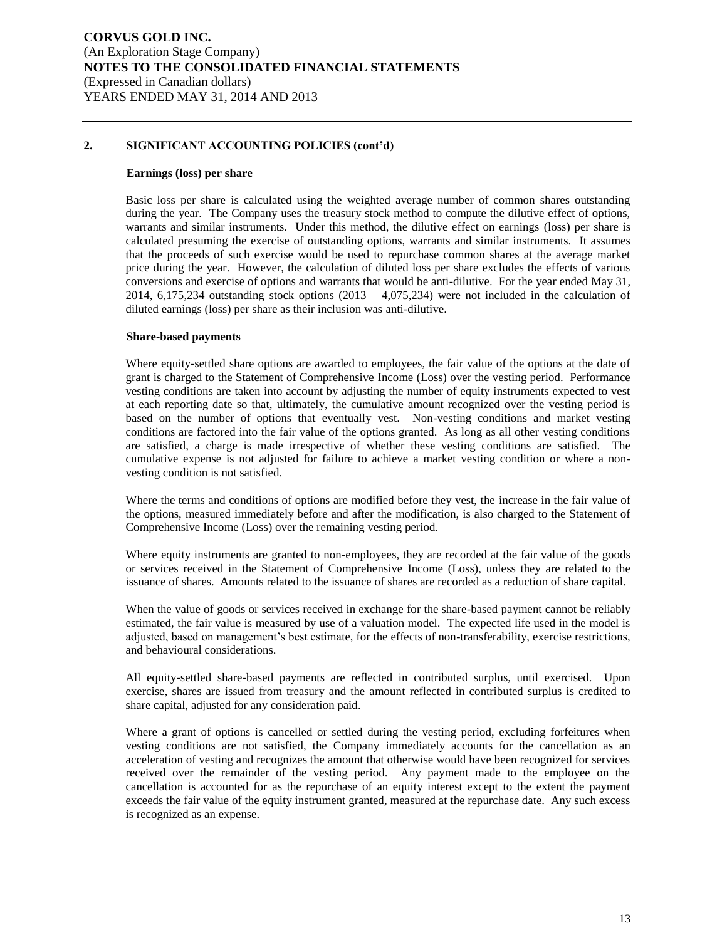#### **Earnings (loss) per share**

Basic loss per share is calculated using the weighted average number of common shares outstanding during the year. The Company uses the treasury stock method to compute the dilutive effect of options, warrants and similar instruments. Under this method, the dilutive effect on earnings (loss) per share is calculated presuming the exercise of outstanding options, warrants and similar instruments. It assumes that the proceeds of such exercise would be used to repurchase common shares at the average market price during the year. However, the calculation of diluted loss per share excludes the effects of various conversions and exercise of options and warrants that would be anti-dilutive. For the year ended May 31, 2014, 6,175,234 outstanding stock options  $(2013 - 4,075,234)$  were not included in the calculation of diluted earnings (loss) per share as their inclusion was anti-dilutive.

#### **Share-based payments**

Where equity-settled share options are awarded to employees, the fair value of the options at the date of grant is charged to the Statement of Comprehensive Income (Loss) over the vesting period. Performance vesting conditions are taken into account by adjusting the number of equity instruments expected to vest at each reporting date so that, ultimately, the cumulative amount recognized over the vesting period is based on the number of options that eventually vest. Non-vesting conditions and market vesting conditions are factored into the fair value of the options granted. As long as all other vesting conditions are satisfied, a charge is made irrespective of whether these vesting conditions are satisfied. The cumulative expense is not adjusted for failure to achieve a market vesting condition or where a nonvesting condition is not satisfied.

Where the terms and conditions of options are modified before they vest, the increase in the fair value of the options, measured immediately before and after the modification, is also charged to the Statement of Comprehensive Income (Loss) over the remaining vesting period.

Where equity instruments are granted to non-employees, they are recorded at the fair value of the goods or services received in the Statement of Comprehensive Income (Loss), unless they are related to the issuance of shares. Amounts related to the issuance of shares are recorded as a reduction of share capital.

When the value of goods or services received in exchange for the share-based payment cannot be reliably estimated, the fair value is measured by use of a valuation model. The expected life used in the model is adjusted, based on management's best estimate, for the effects of non-transferability, exercise restrictions, and behavioural considerations.

All equity-settled share-based payments are reflected in contributed surplus, until exercised. Upon exercise, shares are issued from treasury and the amount reflected in contributed surplus is credited to share capital, adjusted for any consideration paid.

Where a grant of options is cancelled or settled during the vesting period, excluding forfeitures when vesting conditions are not satisfied, the Company immediately accounts for the cancellation as an acceleration of vesting and recognizes the amount that otherwise would have been recognized for services received over the remainder of the vesting period. Any payment made to the employee on the cancellation is accounted for as the repurchase of an equity interest except to the extent the payment exceeds the fair value of the equity instrument granted, measured at the repurchase date. Any such excess is recognized as an expense.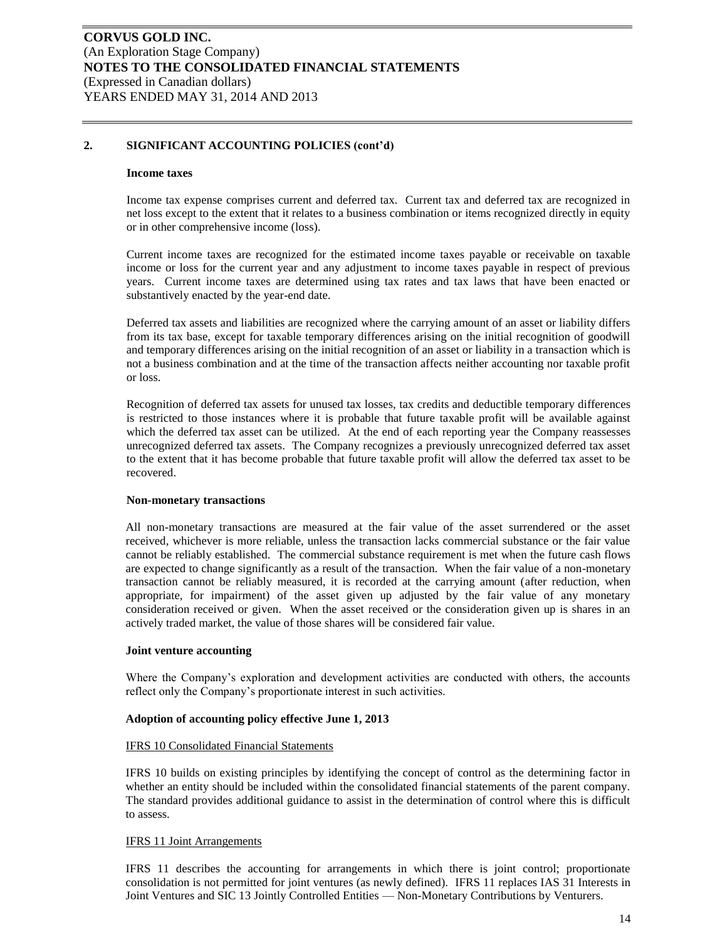#### **Income taxes**

Income tax expense comprises current and deferred tax. Current tax and deferred tax are recognized in net loss except to the extent that it relates to a business combination or items recognized directly in equity or in other comprehensive income (loss).

Current income taxes are recognized for the estimated income taxes payable or receivable on taxable income or loss for the current year and any adjustment to income taxes payable in respect of previous years. Current income taxes are determined using tax rates and tax laws that have been enacted or substantively enacted by the year-end date.

Deferred tax assets and liabilities are recognized where the carrying amount of an asset or liability differs from its tax base, except for taxable temporary differences arising on the initial recognition of goodwill and temporary differences arising on the initial recognition of an asset or liability in a transaction which is not a business combination and at the time of the transaction affects neither accounting nor taxable profit or loss.

Recognition of deferred tax assets for unused tax losses, tax credits and deductible temporary differences is restricted to those instances where it is probable that future taxable profit will be available against which the deferred tax asset can be utilized. At the end of each reporting year the Company reassesses unrecognized deferred tax assets. The Company recognizes a previously unrecognized deferred tax asset to the extent that it has become probable that future taxable profit will allow the deferred tax asset to be recovered.

#### **Non-monetary transactions**

All non-monetary transactions are measured at the fair value of the asset surrendered or the asset received, whichever is more reliable, unless the transaction lacks commercial substance or the fair value cannot be reliably established. The commercial substance requirement is met when the future cash flows are expected to change significantly as a result of the transaction. When the fair value of a non-monetary transaction cannot be reliably measured, it is recorded at the carrying amount (after reduction, when appropriate, for impairment) of the asset given up adjusted by the fair value of any monetary consideration received or given. When the asset received or the consideration given up is shares in an actively traded market, the value of those shares will be considered fair value.

#### **Joint venture accounting**

Where the Company's exploration and development activities are conducted with others, the accounts reflect only the Company's proportionate interest in such activities.

#### **Adoption of accounting policy effective June 1, 2013**

#### IFRS 10 Consolidated Financial Statements

IFRS 10 builds on existing principles by identifying the concept of control as the determining factor in whether an entity should be included within the consolidated financial statements of the parent company. The standard provides additional guidance to assist in the determination of control where this is difficult to assess.

#### IFRS 11 Joint Arrangements

IFRS 11 describes the accounting for arrangements in which there is joint control; proportionate consolidation is not permitted for joint ventures (as newly defined). IFRS 11 replaces IAS 31 Interests in Joint Ventures and SIC 13 Jointly Controlled Entities — Non-Monetary Contributions by Venturers.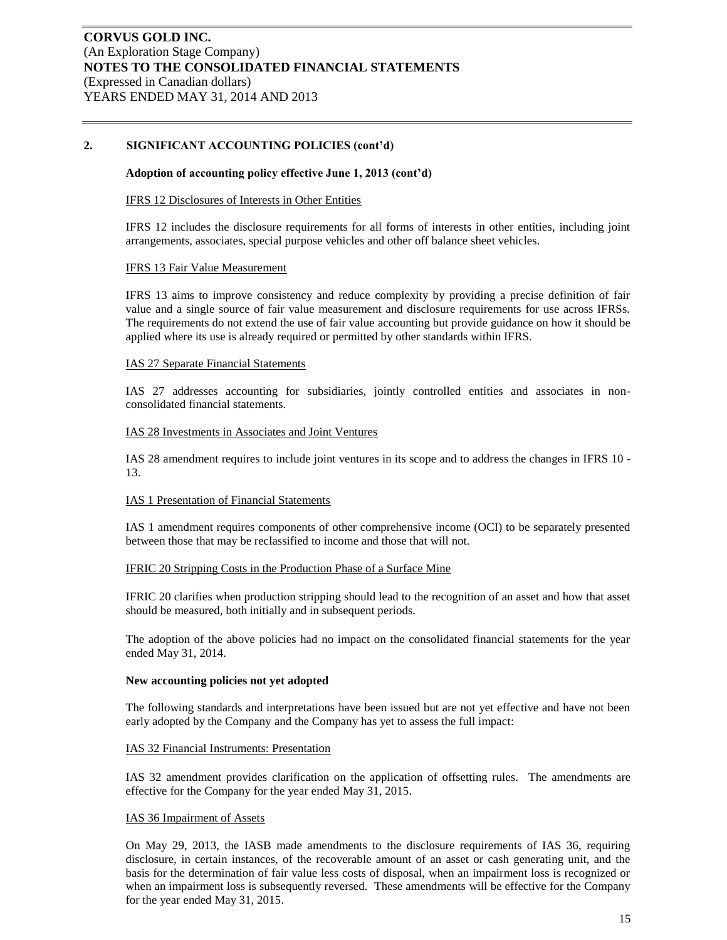### **Adoption of accounting policy effective June 1, 2013 (cont'd)**

#### IFRS 12 Disclosures of Interests in Other Entities

IFRS 12 includes the disclosure requirements for all forms of interests in other entities, including joint arrangements, associates, special purpose vehicles and other off balance sheet vehicles.

#### IFRS 13 Fair Value Measurement

IFRS 13 aims to improve consistency and reduce complexity by providing a precise definition of fair value and a single source of fair value measurement and disclosure requirements for use across IFRSs. The requirements do not extend the use of fair value accounting but provide guidance on how it should be applied where its use is already required or permitted by other standards within IFRS.

#### IAS 27 Separate Financial Statements

IAS 27 addresses accounting for subsidiaries, jointly controlled entities and associates in nonconsolidated financial statements.

#### IAS 28 Investments in Associates and Joint Ventures

IAS 28 amendment requires to include joint ventures in its scope and to address the changes in IFRS 10 - 13.

#### IAS 1 Presentation of Financial Statements

IAS 1 amendment requires components of other comprehensive income (OCI) to be separately presented between those that may be reclassified to income and those that will not.

#### IFRIC 20 Stripping Costs in the Production Phase of a Surface Mine

IFRIC 20 clarifies when production stripping should lead to the recognition of an asset and how that asset should be measured, both initially and in subsequent periods.

The adoption of the above policies had no impact on the consolidated financial statements for the year ended May 31, 2014.

#### **New accounting policies not yet adopted**

The following standards and interpretations have been issued but are not yet effective and have not been early adopted by the Company and the Company has yet to assess the full impact:

#### IAS 32 Financial Instruments: Presentation

IAS 32 amendment provides clarification on the application of offsetting rules. The amendments are effective for the Company for the year ended May 31, 2015.

#### IAS 36 Impairment of Assets

On May 29, 2013, the IASB made amendments to the disclosure requirements of IAS 36, requiring disclosure, in certain instances, of the recoverable amount of an asset or cash generating unit, and the basis for the determination of fair value less costs of disposal, when an impairment loss is recognized or when an impairment loss is subsequently reversed. These amendments will be effective for the Company for the year ended May 31, 2015.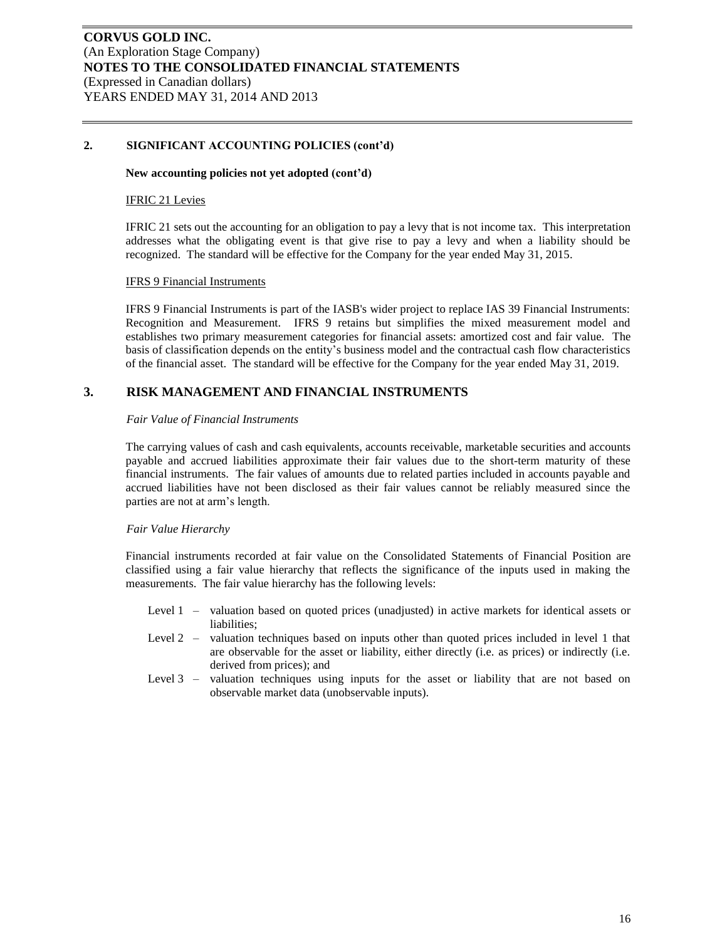#### **New accounting policies not yet adopted (cont'd)**

#### IFRIC 21 Levies

IFRIC 21 sets out the accounting for an obligation to pay a levy that is not income tax. This interpretation addresses what the obligating event is that give rise to pay a levy and when a liability should be recognized. The standard will be effective for the Company for the year ended May 31, 2015.

#### IFRS 9 Financial Instruments

IFRS 9 Financial Instruments is part of the IASB's wider project to replace IAS 39 Financial Instruments: Recognition and Measurement. IFRS 9 retains but simplifies the mixed measurement model and establishes two primary measurement categories for financial assets: amortized cost and fair value. The basis of classification depends on the entity's business model and the contractual cash flow characteristics of the financial asset. The standard will be effective for the Company for the year ended May 31, 2019.

### **3. RISK MANAGEMENT AND FINANCIAL INSTRUMENTS**

#### *Fair Value of Financial Instruments*

The carrying values of cash and cash equivalents, accounts receivable, marketable securities and accounts payable and accrued liabilities approximate their fair values due to the short-term maturity of these financial instruments. The fair values of amounts due to related parties included in accounts payable and accrued liabilities have not been disclosed as their fair values cannot be reliably measured since the parties are not at arm's length.

#### *Fair Value Hierarchy*

Financial instruments recorded at fair value on the Consolidated Statements of Financial Position are classified using a fair value hierarchy that reflects the significance of the inputs used in making the measurements. The fair value hierarchy has the following levels:

- Level 1 valuation based on quoted prices (unadjusted) in active markets for identical assets or liabilities;
- Level 2 valuation techniques based on inputs other than quoted prices included in level 1 that are observable for the asset or liability, either directly (i.e. as prices) or indirectly (i.e. derived from prices); and
- Level 3 valuation techniques using inputs for the asset or liability that are not based on observable market data (unobservable inputs).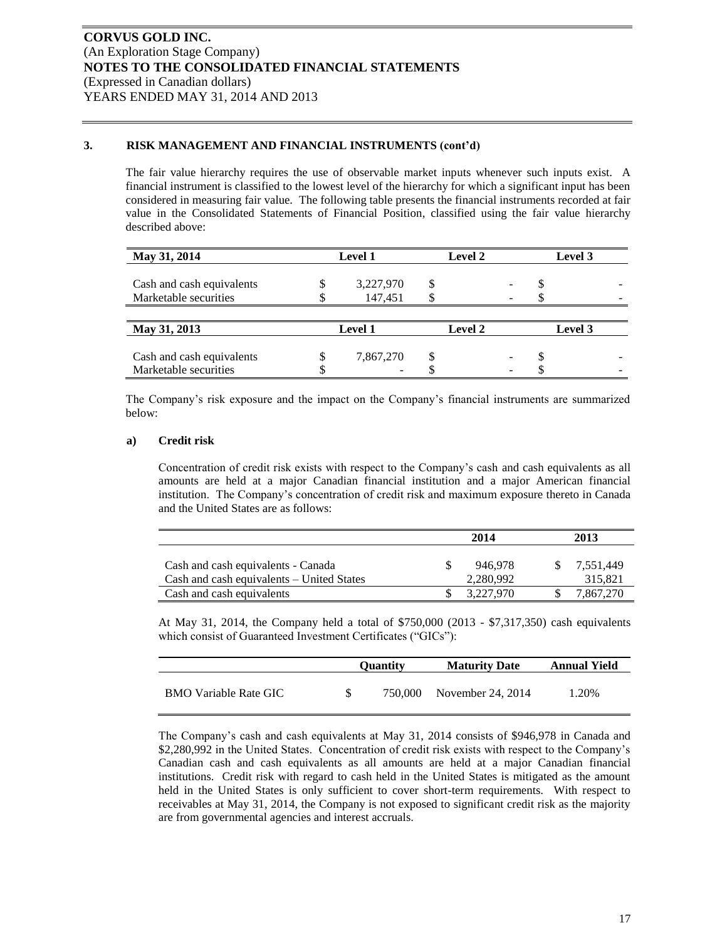### **3. RISK MANAGEMENT AND FINANCIAL INSTRUMENTS (cont'd)**

The fair value hierarchy requires the use of observable market inputs whenever such inputs exist. A financial instrument is classified to the lowest level of the hierarchy for which a significant input has been considered in measuring fair value. The following table presents the financial instruments recorded at fair value in the Consolidated Statements of Financial Position, classified using the fair value hierarchy described above:

| May 31, 2014              | <b>Level 1</b> |  | <b>Level 2</b> |         | Level 3 |  |
|---------------------------|----------------|--|----------------|---------|---------|--|
|                           | 3,227,970      |  |                |         |         |  |
| Cash and cash equivalents |                |  |                |         |         |  |
| Marketable securities     | 147,451        |  |                |         |         |  |
|                           |                |  |                |         |         |  |
| May 31, 2013              | <b>Level 1</b> |  | <b>Level 2</b> | Level 3 |         |  |
|                           |                |  |                |         |         |  |
| Cash and cash equivalents | 7,867,270      |  |                |         |         |  |
| Marketable securities     |                |  |                |         |         |  |

The Company's risk exposure and the impact on the Company's financial instruments are summarized below:

### **a) Credit risk**

Concentration of credit risk exists with respect to the Company's cash and cash equivalents as all amounts are held at a major Canadian financial institution and a major American financial institution. The Company's concentration of credit risk and maximum exposure thereto in Canada and the United States are as follows:

|                                                                                 | 2014 |                      |  | 2013                 |
|---------------------------------------------------------------------------------|------|----------------------|--|----------------------|
| Cash and cash equivalents - Canada<br>Cash and cash equivalents – United States |      | 946.978<br>2,280,992 |  | 7,551,449<br>315,821 |
| Cash and cash equivalents                                                       |      | 3.227.970            |  | 7.867.270            |

At May 31, 2014, the Company held a total of \$750,000 (2013 - \$7,317,350) cash equivalents which consist of Guaranteed Investment Certificates ("GICs"):

|                              | <b>Ouantity</b> | <b>Maturity Date</b> | <b>Annual Yield</b> |
|------------------------------|-----------------|----------------------|---------------------|
| <b>BMO</b> Variable Rate GIC | 750.000         | November 24, 2014    | 1.20%               |

The Company's cash and cash equivalents at May 31, 2014 consists of \$946,978 in Canada and \$2,280,992 in the United States. Concentration of credit risk exists with respect to the Company's Canadian cash and cash equivalents as all amounts are held at a major Canadian financial institutions. Credit risk with regard to cash held in the United States is mitigated as the amount held in the United States is only sufficient to cover short-term requirements. With respect to receivables at May 31, 2014, the Company is not exposed to significant credit risk as the majority are from governmental agencies and interest accruals.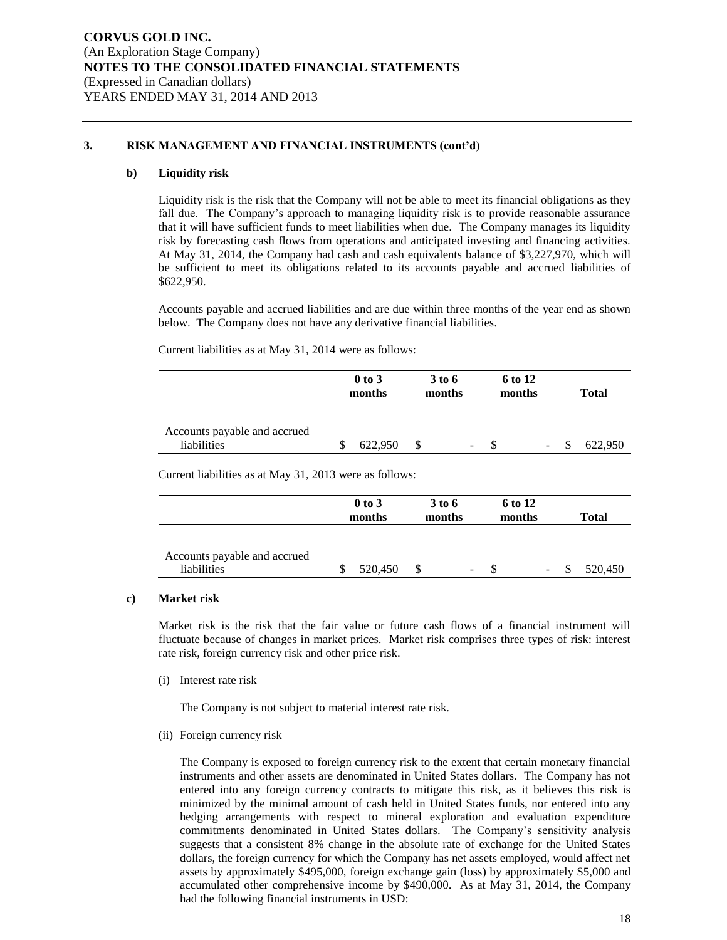### **3. RISK MANAGEMENT AND FINANCIAL INSTRUMENTS (cont'd)**

### **b) Liquidity risk**

Liquidity risk is the risk that the Company will not be able to meet its financial obligations as they fall due. The Company's approach to managing liquidity risk is to provide reasonable assurance that it will have sufficient funds to meet liabilities when due. The Company manages its liquidity risk by forecasting cash flows from operations and anticipated investing and financing activities. At May 31, 2014, the Company had cash and cash equivalents balance of \$3,227,970, which will be sufficient to meet its obligations related to its accounts payable and accrued liabilities of \$622,950.

Accounts payable and accrued liabilities and are due within three months of the year end as shown below. The Company does not have any derivative financial liabilities.

Current liabilities as at May 31, 2014 were as follows:

|                              | $0$ to $3$ | 3 to 6 |   | 6 to 12 |   |              |
|------------------------------|------------|--------|---|---------|---|--------------|
|                              | months     | months |   | months  |   | <b>Total</b> |
|                              |            |        |   |         |   |              |
|                              |            |        |   |         |   |              |
| Accounts payable and accrued |            |        |   |         |   |              |
| liabilities                  | 622,950    |        | - |         | - | 622.950      |

Current liabilities as at May 31, 2013 were as follows:

|                                             | $0$ to $3$<br>3 to 6<br>months<br>months |         | 6 to 12<br>months |                          |  | <b>Total</b>    |  |         |
|---------------------------------------------|------------------------------------------|---------|-------------------|--------------------------|--|-----------------|--|---------|
| Accounts payable and accrued<br>liabilities |                                          | 520,450 | S                 | $\overline{\phantom{a}}$ |  | $\qquad \qquad$ |  | 520,450 |

#### **c) Market risk**

Market risk is the risk that the fair value or future cash flows of a financial instrument will fluctuate because of changes in market prices. Market risk comprises three types of risk: interest rate risk, foreign currency risk and other price risk.

(i) Interest rate risk

The Company is not subject to material interest rate risk.

(ii) Foreign currency risk

The Company is exposed to foreign currency risk to the extent that certain monetary financial instruments and other assets are denominated in United States dollars. The Company has not entered into any foreign currency contracts to mitigate this risk, as it believes this risk is minimized by the minimal amount of cash held in United States funds, nor entered into any hedging arrangements with respect to mineral exploration and evaluation expenditure commitments denominated in United States dollars. The Company's sensitivity analysis suggests that a consistent 8% change in the absolute rate of exchange for the United States dollars, the foreign currency for which the Company has net assets employed, would affect net assets by approximately \$495,000, foreign exchange gain (loss) by approximately \$5,000 and accumulated other comprehensive income by \$490,000. As at May 31, 2014, the Company had the following financial instruments in USD: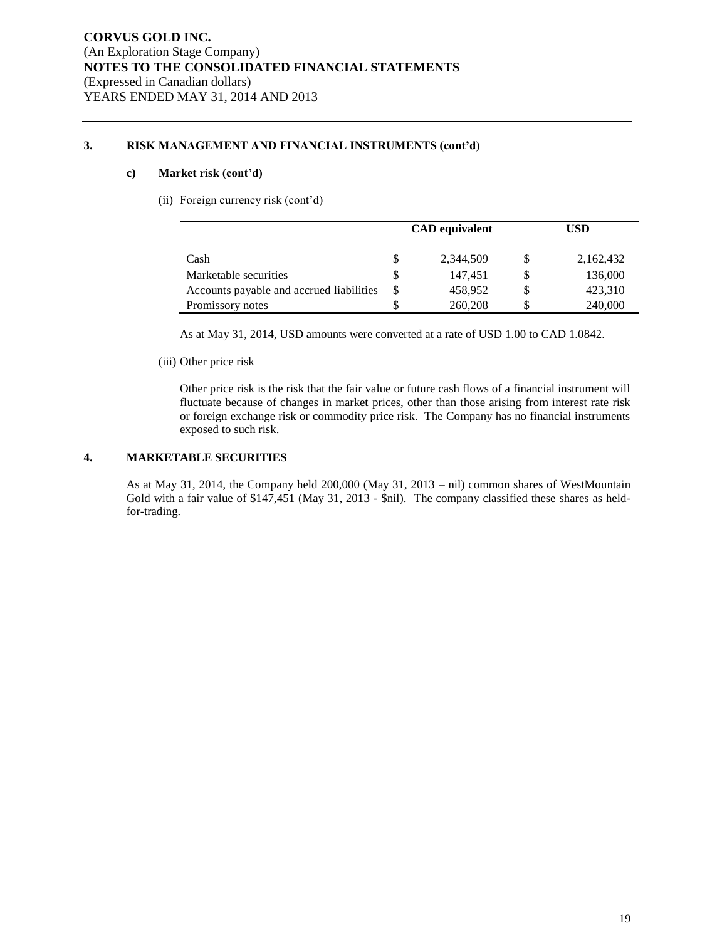### **3. RISK MANAGEMENT AND FINANCIAL INSTRUMENTS (cont'd)**

### **c) Market risk (cont'd)**

(ii) Foreign currency risk (cont'd)

|                                          |   | <b>CAD</b> equivalent |    | USD       |  |  |
|------------------------------------------|---|-----------------------|----|-----------|--|--|
|                                          |   |                       |    |           |  |  |
| Cash                                     |   | 2,344,509             |    | 2,162,432 |  |  |
| Marketable securities                    | S | 147.451               | \$ | 136,000   |  |  |
| Accounts payable and accrued liabilities | S | 458,952               | \$ | 423,310   |  |  |
| Promissory notes                         |   | 260,208               | S  | 240,000   |  |  |

As at May 31, 2014, USD amounts were converted at a rate of USD 1.00 to CAD 1.0842.

(iii) Other price risk

Other price risk is the risk that the fair value or future cash flows of a financial instrument will fluctuate because of changes in market prices, other than those arising from interest rate risk or foreign exchange risk or commodity price risk. The Company has no financial instruments exposed to such risk.

### **4. MARKETABLE SECURITIES**

As at May 31, 2014, the Company held 200,000 (May 31, 2013 – nil) common shares of WestMountain Gold with a fair value of \$147,451 (May 31, 2013 - \$nil). The company classified these shares as heldfor-trading.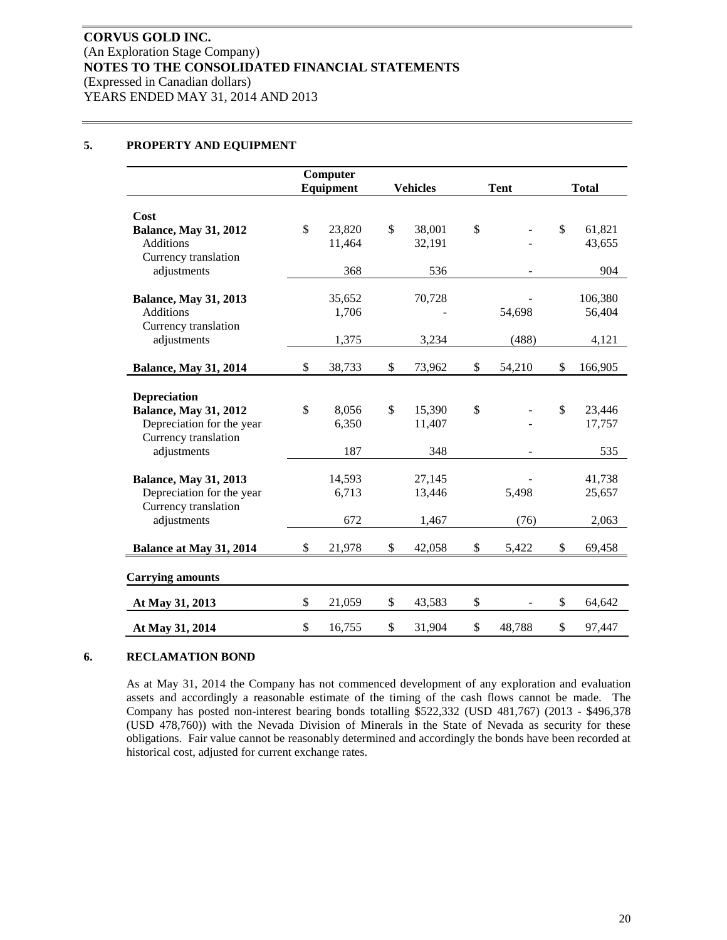## **5. PROPERTY AND EQUIPMENT**

|                                                           | Computer     |                 |               |             |              |              |
|-----------------------------------------------------------|--------------|-----------------|---------------|-------------|--------------|--------------|
|                                                           | Equipment    | <b>Vehicles</b> |               | <b>Tent</b> |              | <b>Total</b> |
| Cost                                                      |              |                 |               |             |              |              |
| <b>Balance, May 31, 2012</b>                              | \$<br>23,820 | \$<br>38,001    | \$            |             | \$           | 61,821       |
| <b>Additions</b>                                          | 11,464       | 32,191          |               |             |              | 43,655       |
| Currency translation                                      |              |                 |               |             |              |              |
| adjustments                                               | 368          | 536             |               |             |              | 904          |
| <b>Balance, May 31, 2013</b>                              | 35,652       | 70,728          |               |             |              | 106,380      |
| <b>Additions</b>                                          | 1,706        |                 |               | 54,698      |              | 56,404       |
| Currency translation                                      |              |                 |               |             |              |              |
| adjustments                                               | 1,375        | 3,234           |               | (488)       |              | 4,121        |
|                                                           |              |                 |               |             |              |              |
| <b>Balance, May 31, 2014</b>                              | \$<br>38,733 | \$<br>73,962    | \$            | 54,210      | \$           | 166,905      |
|                                                           |              |                 |               |             |              |              |
| <b>Depreciation</b>                                       | \$<br>8,056  | \$<br>15,390    | $\mathsf{\$}$ |             | $\mathbb{S}$ | 23,446       |
| <b>Balance, May 31, 2012</b><br>Depreciation for the year | 6,350        | 11,407          |               |             |              | 17,757       |
| Currency translation                                      |              |                 |               |             |              |              |
| adjustments                                               | 187          | 348             |               |             |              | 535          |
|                                                           |              |                 |               |             |              |              |
| <b>Balance, May 31, 2013</b>                              | 14,593       | 27,145          |               |             |              | 41,738       |
| Depreciation for the year                                 | 6,713        | 13,446          |               | 5,498       |              | 25,657       |
| Currency translation                                      |              |                 |               |             |              |              |
| adjustments                                               | 672          | 1,467           |               | (76)        |              | 2,063        |
| Balance at May 31, 2014                                   | \$<br>21,978 | \$<br>42,058    | \$            | 5,422       | \$           | 69,458       |
| <b>Carrying amounts</b>                                   |              |                 |               |             |              |              |
| At May 31, 2013                                           | \$<br>21,059 | \$<br>43,583    | \$            |             | \$           | 64,642       |
| At May 31, 2014                                           | \$<br>16,755 | \$<br>31,904    | \$            | 48,788      | \$           | 97,447       |

### **6. RECLAMATION BOND**

As at May 31, 2014 the Company has not commenced development of any exploration and evaluation assets and accordingly a reasonable estimate of the timing of the cash flows cannot be made. The Company has posted non-interest bearing bonds totalling \$522,332 (USD 481,767) (2013 - \$496,378 (USD 478,760)) with the Nevada Division of Minerals in the State of Nevada as security for these obligations. Fair value cannot be reasonably determined and accordingly the bonds have been recorded at historical cost, adjusted for current exchange rates.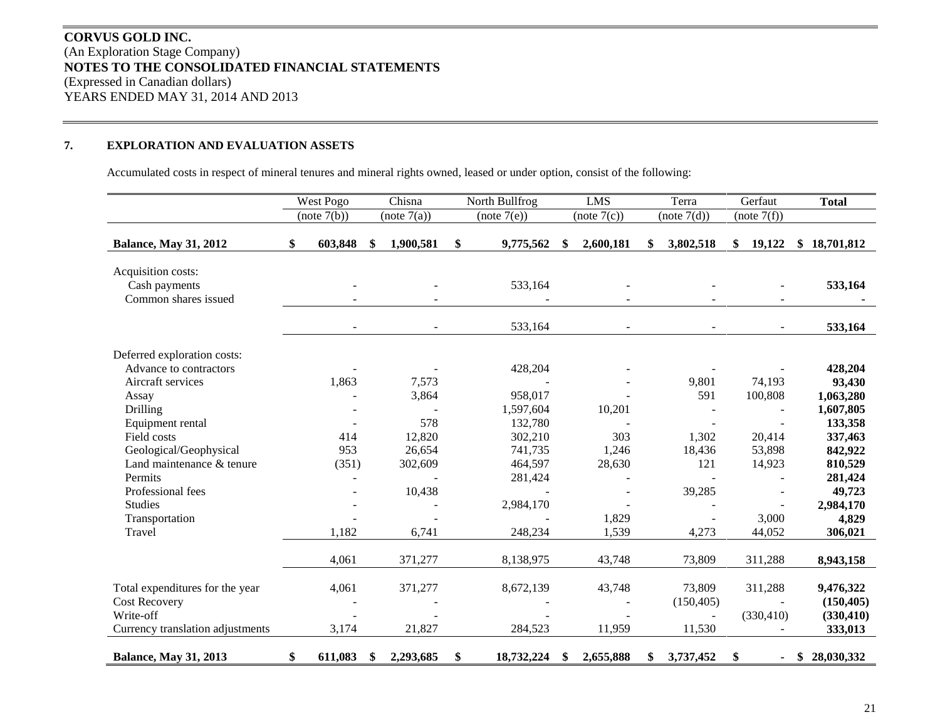# **CORVUS GOLD INC.** (An Exploration Stage Company) **NOTES TO THE CONSOLIDATED FINANCIAL STATEMENTS** (Expressed in Canadian dollars) YEARS ENDED MAY 31, 2014 AND 2013

# **7. EXPLORATION AND EVALUATION ASSETS**

Accumulated costs in respect of mineral tenures and mineral rights owned, leased or under option, consist of the following:

|                                                                                                                                                                                                                                                                                | West Pogo                             | Chisna                                                                  | North Bullfrog                                                                                                 |     | <b>LMS</b>                                         | Terra                                                     | Gerfaut                                                            | <b>Total</b>                                                                                                                                  |
|--------------------------------------------------------------------------------------------------------------------------------------------------------------------------------------------------------------------------------------------------------------------------------|---------------------------------------|-------------------------------------------------------------------------|----------------------------------------------------------------------------------------------------------------|-----|----------------------------------------------------|-----------------------------------------------------------|--------------------------------------------------------------------|-----------------------------------------------------------------------------------------------------------------------------------------------|
|                                                                                                                                                                                                                                                                                | (note 7(b))                           | (note 7(a))                                                             | (note 7(e))                                                                                                    |     | (note 7(c))                                        | (note 7(d))                                               | (note 7(f))                                                        |                                                                                                                                               |
| <b>Balance, May 31, 2012</b>                                                                                                                                                                                                                                                   | \$<br>603,848                         | \$<br>1,900,581                                                         | \$<br>9,775,562                                                                                                | -SS | 2,600,181                                          | 3,802,518                                                 | \$<br>19,122                                                       | \$18,701,812                                                                                                                                  |
| Acquisition costs:<br>Cash payments<br>Common shares issued                                                                                                                                                                                                                    |                                       |                                                                         | 533,164                                                                                                        |     |                                                    |                                                           |                                                                    | 533,164                                                                                                                                       |
|                                                                                                                                                                                                                                                                                | $\sim$                                |                                                                         | 533,164                                                                                                        |     |                                                    |                                                           | $\overline{\phantom{a}}$                                           | 533,164                                                                                                                                       |
| Deferred exploration costs:<br>Advance to contractors<br>Aircraft services<br>Assay<br><b>Drilling</b><br>Equipment rental<br>Field costs<br>Geological/Geophysical<br>Land maintenance & tenure<br>Permits<br>Professional fees<br><b>Studies</b><br>Transportation<br>Travel | 1,863<br>414<br>953<br>(351)<br>1,182 | 7,573<br>3,864<br>578<br>12,820<br>26,654<br>302,609<br>10,438<br>6,741 | 428,204<br>958,017<br>1,597,604<br>132,780<br>302,210<br>741,735<br>464,597<br>281,424<br>2,984,170<br>248,234 |     | 10,201<br>303<br>1,246<br>28,630<br>1,829<br>1,539 | 9,801<br>591<br>1,302<br>18,436<br>121<br>39,285<br>4,273 | 74,193<br>100,808<br>20,414<br>53,898<br>14,923<br>3,000<br>44,052 | 428,204<br>93,430<br>1,063,280<br>1,607,805<br>133,358<br>337,463<br>842,922<br>810,529<br>281,424<br>49,723<br>2,984,170<br>4,829<br>306,021 |
|                                                                                                                                                                                                                                                                                | 4,061                                 | 371,277                                                                 | 8,138,975                                                                                                      |     | 43,748                                             | 73,809                                                    | 311,288                                                            | 8,943,158                                                                                                                                     |
| Total expenditures for the year<br><b>Cost Recovery</b><br>Write-off<br>Currency translation adjustments                                                                                                                                                                       | 4,061<br>3,174                        | 371,277<br>21,827                                                       | 8,672,139<br>284,523                                                                                           |     | 43,748<br>11,959                                   | 73,809<br>(150, 405)<br>11,530                            | 311,288<br>(330, 410)                                              | 9,476,322<br>(150, 405)<br>(330, 410)<br>333,013                                                                                              |
| <b>Balance, May 31, 2013</b>                                                                                                                                                                                                                                                   | \$<br>611,083                         | \$<br>2,293,685                                                         | \$<br>18,732,224                                                                                               | \$  | 2,655,888                                          | \$<br>3,737,452                                           | \$<br>$\sim$                                                       | \$28,030,332                                                                                                                                  |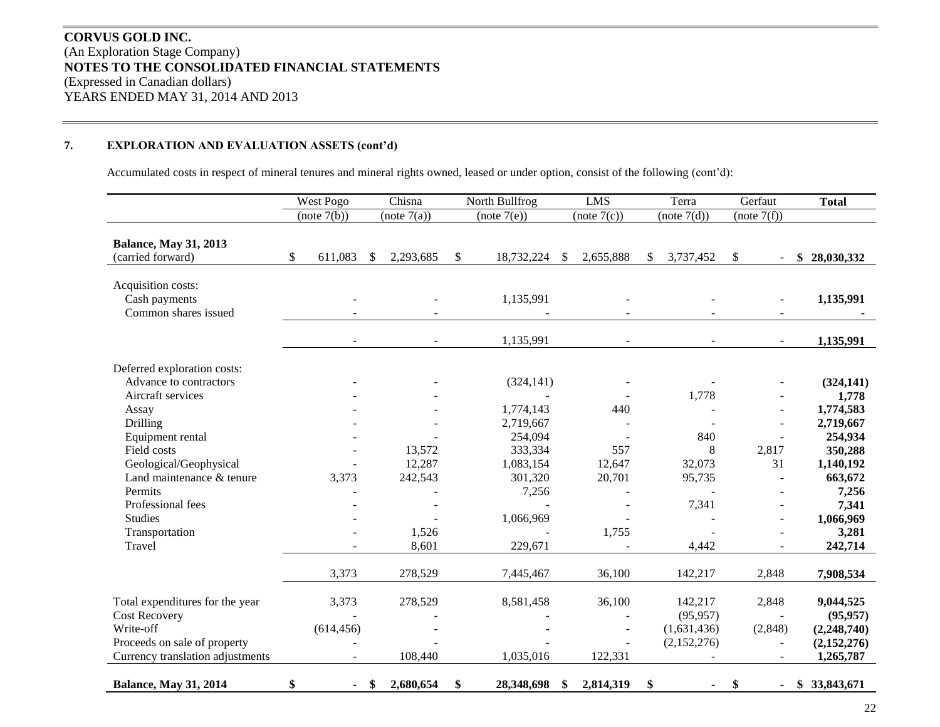# **CORVUS GOLD INC.** (An Exploration Stage Company) **NOTES TO THE CONSOLIDATED FINANCIAL STATEMENTS** (Expressed in Canadian dollars) YEARS ENDED MAY 31, 2014 AND 2013

# **7. EXPLORATION AND EVALUATION ASSETS (cont'd)**

Accumulated costs in respect of mineral tenures and mineral rights owned, leased or under option, consist of the following (cont'd):

|                                                                  | West Pogo                      | Chisna<br>North Bullfrog       |                               | <b>LMS</b>                 | Terra                      | Gerfaut      | <b>Total</b>               |
|------------------------------------------------------------------|--------------------------------|--------------------------------|-------------------------------|----------------------------|----------------------------|--------------|----------------------------|
|                                                                  | (note 7(b))                    | (note 7(a))                    | (note 7(e))                   | (note 7(c))                | (note 7(d))                | (note 7(f))  |                            |
| <b>Balance, May 31, 2013</b><br>(carried forward)                | \$<br>611,083                  | 2,293,685<br><sup>\$</sup>     | $\mathbb{S}$<br>18,732,224    | 2,655,888<br>-\$           | 3,737,452<br>\$.           | \$           | \$28,030,332               |
| Acquisition costs:<br>Cash payments<br>Common shares issued      |                                |                                | 1,135,991                     |                            |                            |              | 1,135,991                  |
|                                                                  | $\overline{\phantom{a}}$       |                                | 1,135,991                     |                            |                            |              | 1,135,991                  |
| Deferred exploration costs:<br>Advance to contractors            |                                |                                | (324, 141)                    |                            |                            |              | (324, 141)                 |
| Aircraft services<br>Assay                                       |                                |                                | $\blacksquare$<br>1,774,143   | 440                        | 1,778                      |              | 1,778<br>1,774,583         |
| Drilling<br>Equipment rental                                     |                                |                                | 2,719,667<br>254,094          |                            | 840                        |              | 2,719,667<br>254,934       |
| Field costs<br>Geological/Geophysical                            |                                | 13,572<br>12,287               | 333,334<br>1,083,154          | 557<br>12,647              | 8<br>32,073                | 2,817<br>31  | 350,288<br>1,140,192       |
| Land maintenance & tenure<br>Permits                             | 3,373                          | 242,543                        | 301,320<br>7,256              | 20,701                     | 95,735                     |              | 663,672<br>7,256           |
| Professional fees<br><b>Studies</b>                              |                                |                                | 1,066,969                     |                            | 7,341                      |              | 7,341<br>1,066,969         |
| Transportation<br>Travel                                         |                                | 1,526<br>8,601                 | 229,671                       | 1,755                      | 4,442                      |              | 3,281<br>242,714           |
|                                                                  | 3,373                          | 278,529                        | 7,445,467                     | 36,100                     | 142,217                    | 2,848        | 7,908,534                  |
| Total expenditures for the year<br><b>Cost Recovery</b>          | 3,373                          | 278,529                        | 8,581,458                     | 36,100                     | 142,217<br>(95, 957)       | 2,848        | 9,044,525<br>(95, 957)     |
| Write-off<br>Proceeds on sale of property                        | (614, 456)                     |                                |                               |                            | (1,631,436)<br>(2,152,276) | (2,848)      | (2,248,740)<br>(2,152,276) |
| Currency translation adjustments<br><b>Balance, May 31, 2014</b> | $\overline{\phantom{a}}$<br>\$ | 108,440<br>2,680,654<br>$-$ \$ | 1,035,016<br>\$<br>28,348,698 | 122,331<br>2,814,319<br>\$ | \$                         | $\sim$<br>\$ | 1,265,787<br>\$33,843,671  |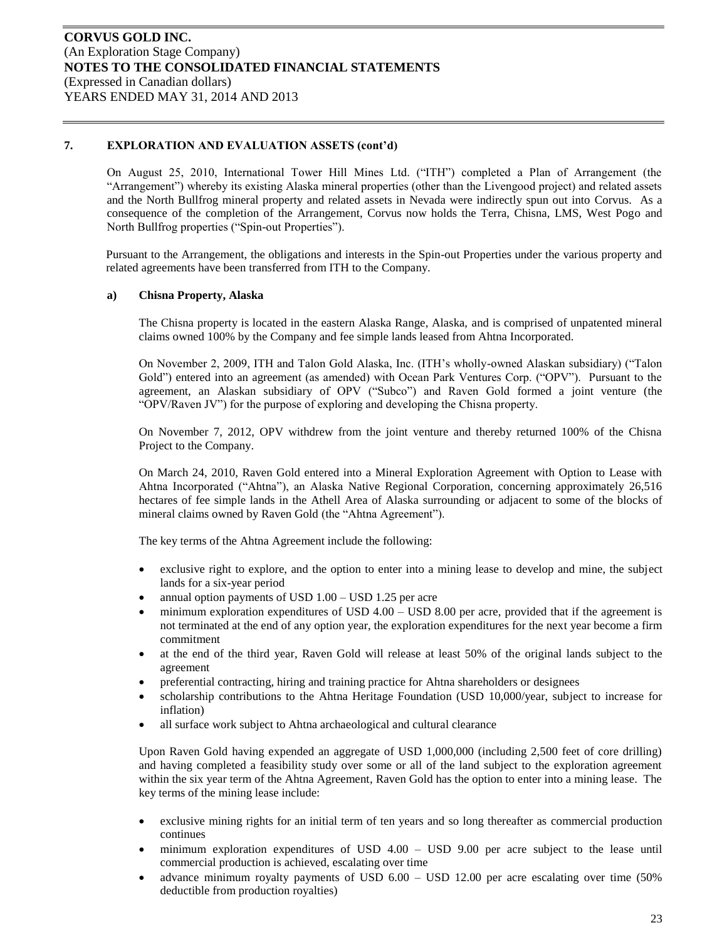On August 25, 2010, International Tower Hill Mines Ltd. ("ITH") completed a Plan of Arrangement (the "Arrangement") whereby its existing Alaska mineral properties (other than the Livengood project) and related assets and the North Bullfrog mineral property and related assets in Nevada were indirectly spun out into Corvus. As a consequence of the completion of the Arrangement, Corvus now holds the Terra, Chisna, LMS, West Pogo and North Bullfrog properties ("Spin-out Properties").

Pursuant to the Arrangement, the obligations and interests in the Spin-out Properties under the various property and related agreements have been transferred from ITH to the Company.

#### **a) Chisna Property, Alaska**

The Chisna property is located in the eastern Alaska Range, Alaska, and is comprised of unpatented mineral claims owned 100% by the Company and fee simple lands leased from Ahtna Incorporated.

On November 2, 2009, ITH and Talon Gold Alaska, Inc. (ITH's wholly-owned Alaskan subsidiary) ("Talon Gold") entered into an agreement (as amended) with Ocean Park Ventures Corp. ("OPV"). Pursuant to the agreement, an Alaskan subsidiary of OPV ("Subco") and Raven Gold formed a joint venture (the "OPV/Raven JV") for the purpose of exploring and developing the Chisna property.

On November 7, 2012, OPV withdrew from the joint venture and thereby returned 100% of the Chisna Project to the Company.

On March 24, 2010, Raven Gold entered into a Mineral Exploration Agreement with Option to Lease with Ahtna Incorporated ("Ahtna"), an Alaska Native Regional Corporation, concerning approximately 26,516 hectares of fee simple lands in the Athell Area of Alaska surrounding or adjacent to some of the blocks of mineral claims owned by Raven Gold (the "Ahtna Agreement").

The key terms of the Ahtna Agreement include the following:

- exclusive right to explore, and the option to enter into a mining lease to develop and mine, the subject lands for a six-year period
- annual option payments of USD 1.00 USD 1.25 per acre
- minimum exploration expenditures of USD 4.00 USD 8.00 per acre, provided that if the agreement is not terminated at the end of any option year, the exploration expenditures for the next year become a firm commitment
- at the end of the third year, Raven Gold will release at least 50% of the original lands subject to the agreement
- preferential contracting, hiring and training practice for Ahtna shareholders or designees
- scholarship contributions to the Ahtna Heritage Foundation (USD 10,000/year, subject to increase for inflation)
- all surface work subject to Ahtna archaeological and cultural clearance

Upon Raven Gold having expended an aggregate of USD 1,000,000 (including 2,500 feet of core drilling) and having completed a feasibility study over some or all of the land subject to the exploration agreement within the six year term of the Ahtna Agreement, Raven Gold has the option to enter into a mining lease. The key terms of the mining lease include:

- exclusive mining rights for an initial term of ten years and so long thereafter as commercial production continues
- minimum exploration expenditures of USD 4.00 USD 9.00 per acre subject to the lease until commercial production is achieved, escalating over time
- advance minimum royalty payments of USD 6.00 USD 12.00 per acre escalating over time (50% deductible from production royalties)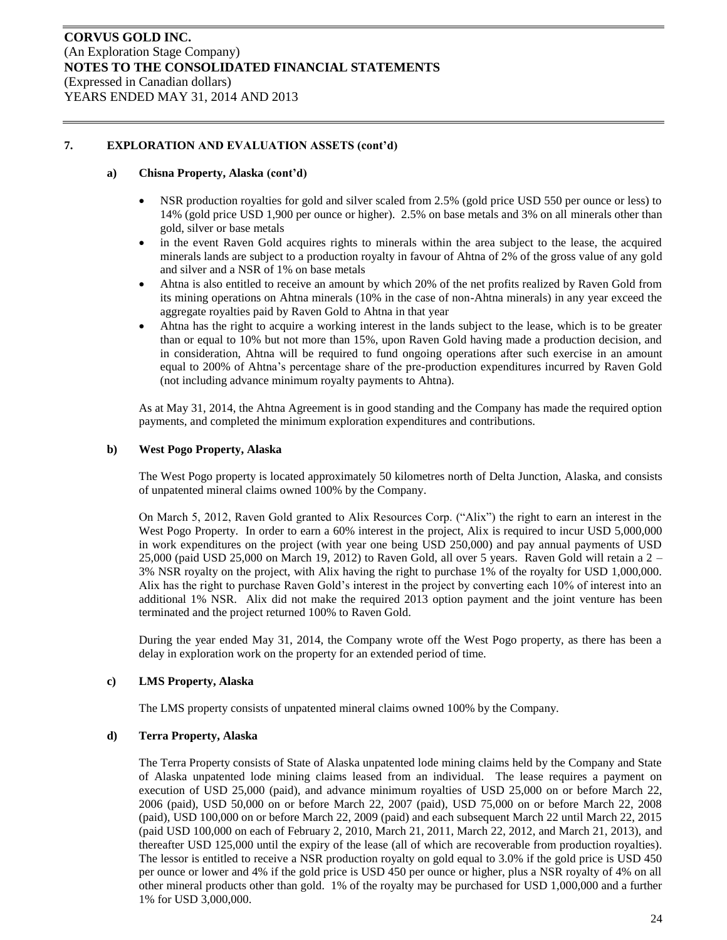### **a) Chisna Property, Alaska (cont'd)**

- NSR production royalties for gold and silver scaled from 2.5% (gold price USD 550 per ounce or less) to 14% (gold price USD 1,900 per ounce or higher). 2.5% on base metals and 3% on all minerals other than gold, silver or base metals
- in the event Raven Gold acquires rights to minerals within the area subject to the lease, the acquired minerals lands are subject to a production royalty in favour of Ahtna of 2% of the gross value of any gold and silver and a NSR of 1% on base metals
- Ahtna is also entitled to receive an amount by which 20% of the net profits realized by Raven Gold from its mining operations on Ahtna minerals (10% in the case of non-Ahtna minerals) in any year exceed the aggregate royalties paid by Raven Gold to Ahtna in that year
- Ahtna has the right to acquire a working interest in the lands subject to the lease, which is to be greater than or equal to 10% but not more than 15%, upon Raven Gold having made a production decision, and in consideration, Ahtna will be required to fund ongoing operations after such exercise in an amount equal to 200% of Ahtna's percentage share of the pre-production expenditures incurred by Raven Gold (not including advance minimum royalty payments to Ahtna).

As at May 31, 2014, the Ahtna Agreement is in good standing and the Company has made the required option payments, and completed the minimum exploration expenditures and contributions.

#### **b) West Pogo Property, Alaska**

The West Pogo property is located approximately 50 kilometres north of Delta Junction, Alaska, and consists of unpatented mineral claims owned 100% by the Company.

On March 5, 2012, Raven Gold granted to Alix Resources Corp. ("Alix") the right to earn an interest in the West Pogo Property. In order to earn a 60% interest in the project, Alix is required to incur USD 5,000,000 in work expenditures on the project (with year one being USD 250,000) and pay annual payments of USD 25,000 (paid USD 25,000 on March 19, 2012) to Raven Gold, all over 5 years. Raven Gold will retain a 2 – 3% NSR royalty on the project, with Alix having the right to purchase 1% of the royalty for USD 1,000,000. Alix has the right to purchase Raven Gold's interest in the project by converting each 10% of interest into an additional 1% NSR. Alix did not make the required 2013 option payment and the joint venture has been terminated and the project returned 100% to Raven Gold.

During the year ended May 31, 2014, the Company wrote off the West Pogo property, as there has been a delay in exploration work on the property for an extended period of time.

### **c) LMS Property, Alaska**

The LMS property consists of unpatented mineral claims owned 100% by the Company.

#### **d) Terra Property, Alaska**

The Terra Property consists of State of Alaska unpatented lode mining claims held by the Company and State of Alaska unpatented lode mining claims leased from an individual. The lease requires a payment on execution of USD 25,000 (paid), and advance minimum royalties of USD 25,000 on or before March 22, 2006 (paid), USD 50,000 on or before March 22, 2007 (paid), USD 75,000 on or before March 22, 2008 (paid), USD 100,000 on or before March 22, 2009 (paid) and each subsequent March 22 until March 22, 2015 (paid USD 100,000 on each of February 2, 2010, March 21, 2011, March 22, 2012, and March 21, 2013), and thereafter USD 125,000 until the expiry of the lease (all of which are recoverable from production royalties). The lessor is entitled to receive a NSR production royalty on gold equal to 3.0% if the gold price is USD 450 per ounce or lower and 4% if the gold price is USD 450 per ounce or higher, plus a NSR royalty of 4% on all other mineral products other than gold. 1% of the royalty may be purchased for USD 1,000,000 and a further 1% for USD 3,000,000.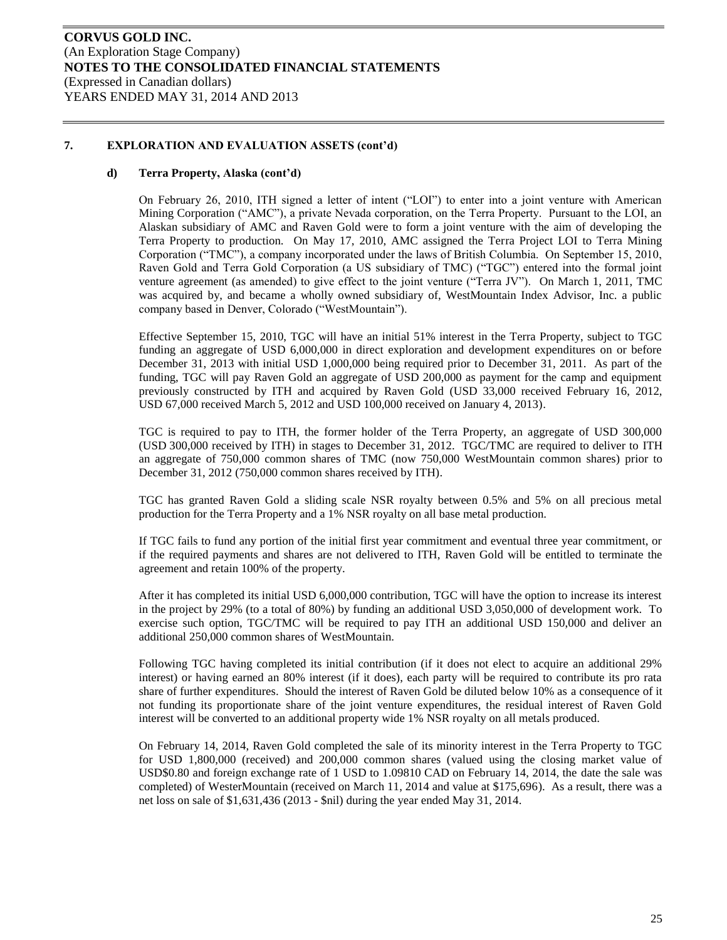#### **d) Terra Property, Alaska (cont'd)**

On February 26, 2010, ITH signed a letter of intent ("LOI") to enter into a joint venture with American Mining Corporation ("AMC"), a private Nevada corporation, on the Terra Property. Pursuant to the LOI, an Alaskan subsidiary of AMC and Raven Gold were to form a joint venture with the aim of developing the Terra Property to production. On May 17, 2010, AMC assigned the Terra Project LOI to Terra Mining Corporation ("TMC"), a company incorporated under the laws of British Columbia. On September 15, 2010, Raven Gold and Terra Gold Corporation (a US subsidiary of TMC) ("TGC") entered into the formal joint venture agreement (as amended) to give effect to the joint venture ("Terra JV"). On March 1, 2011, TMC was acquired by, and became a wholly owned subsidiary of, WestMountain Index Advisor, Inc. a public company based in Denver, Colorado ("WestMountain").

Effective September 15, 2010, TGC will have an initial 51% interest in the Terra Property, subject to TGC funding an aggregate of USD 6,000,000 in direct exploration and development expenditures on or before December 31, 2013 with initial USD 1,000,000 being required prior to December 31, 2011. As part of the funding, TGC will pay Raven Gold an aggregate of USD 200,000 as payment for the camp and equipment previously constructed by ITH and acquired by Raven Gold (USD 33,000 received February 16, 2012, USD 67,000 received March 5, 2012 and USD 100,000 received on January 4, 2013).

TGC is required to pay to ITH, the former holder of the Terra Property, an aggregate of USD 300,000 (USD 300,000 received by ITH) in stages to December 31, 2012. TGC/TMC are required to deliver to ITH an aggregate of 750,000 common shares of TMC (now 750,000 WestMountain common shares) prior to December 31, 2012 (750,000 common shares received by ITH).

TGC has granted Raven Gold a sliding scale NSR royalty between 0.5% and 5% on all precious metal production for the Terra Property and a 1% NSR royalty on all base metal production.

If TGC fails to fund any portion of the initial first year commitment and eventual three year commitment, or if the required payments and shares are not delivered to ITH, Raven Gold will be entitled to terminate the agreement and retain 100% of the property.

After it has completed its initial USD 6,000,000 contribution, TGC will have the option to increase its interest in the project by 29% (to a total of 80%) by funding an additional USD 3,050,000 of development work. To exercise such option, TGC/TMC will be required to pay ITH an additional USD 150,000 and deliver an additional 250,000 common shares of WestMountain.

Following TGC having completed its initial contribution (if it does not elect to acquire an additional 29% interest) or having earned an 80% interest (if it does), each party will be required to contribute its pro rata share of further expenditures. Should the interest of Raven Gold be diluted below 10% as a consequence of it not funding its proportionate share of the joint venture expenditures, the residual interest of Raven Gold interest will be converted to an additional property wide 1% NSR royalty on all metals produced.

On February 14, 2014, Raven Gold completed the sale of its minority interest in the Terra Property to TGC for USD 1,800,000 (received) and 200,000 common shares (valued using the closing market value of USD\$0.80 and foreign exchange rate of 1 USD to 1.09810 CAD on February 14, 2014, the date the sale was completed) of WesterMountain (received on March 11, 2014 and value at \$175,696). As a result, there was a net loss on sale of \$1,631,436 (2013 - \$nil) during the year ended May 31, 2014.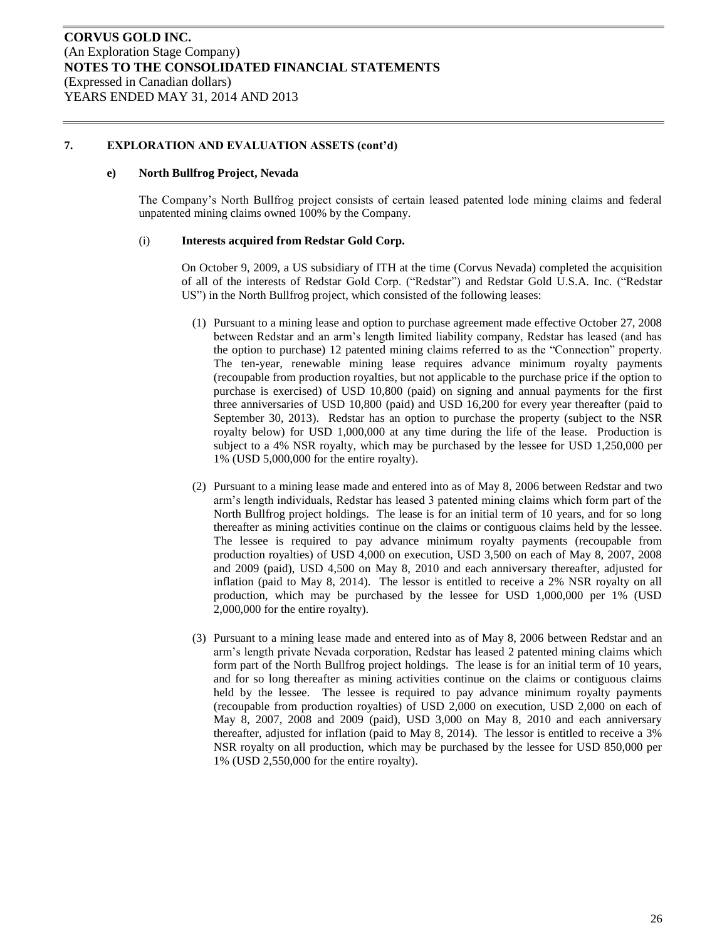#### **e) North Bullfrog Project, Nevada**

The Company's North Bullfrog project consists of certain leased patented lode mining claims and federal unpatented mining claims owned 100% by the Company.

#### (i) **Interests acquired from Redstar Gold Corp.**

On October 9, 2009, a US subsidiary of ITH at the time (Corvus Nevada) completed the acquisition of all of the interests of Redstar Gold Corp. ("Redstar") and Redstar Gold U.S.A. Inc. ("Redstar US") in the North Bullfrog project, which consisted of the following leases:

- (1) Pursuant to a mining lease and option to purchase agreement made effective October 27, 2008 between Redstar and an arm's length limited liability company, Redstar has leased (and has the option to purchase) 12 patented mining claims referred to as the "Connection" property. The ten-year, renewable mining lease requires advance minimum royalty payments (recoupable from production royalties, but not applicable to the purchase price if the option to purchase is exercised) of USD 10,800 (paid) on signing and annual payments for the first three anniversaries of USD 10,800 (paid) and USD 16,200 for every year thereafter (paid to September 30, 2013). Redstar has an option to purchase the property (subject to the NSR royalty below) for USD 1,000,000 at any time during the life of the lease. Production is subject to a 4% NSR royalty, which may be purchased by the lessee for USD 1,250,000 per 1% (USD 5,000,000 for the entire royalty).
- (2) Pursuant to a mining lease made and entered into as of May 8, 2006 between Redstar and two arm's length individuals, Redstar has leased 3 patented mining claims which form part of the North Bullfrog project holdings. The lease is for an initial term of 10 years, and for so long thereafter as mining activities continue on the claims or contiguous claims held by the lessee. The lessee is required to pay advance minimum royalty payments (recoupable from production royalties) of USD 4,000 on execution, USD 3,500 on each of May 8, 2007, 2008 and 2009 (paid), USD 4,500 on May 8, 2010 and each anniversary thereafter, adjusted for inflation (paid to May 8, 2014). The lessor is entitled to receive a 2% NSR royalty on all production, which may be purchased by the lessee for USD 1,000,000 per 1% (USD 2,000,000 for the entire royalty).
- (3) Pursuant to a mining lease made and entered into as of May 8, 2006 between Redstar and an arm's length private Nevada corporation, Redstar has leased 2 patented mining claims which form part of the North Bullfrog project holdings. The lease is for an initial term of 10 years, and for so long thereafter as mining activities continue on the claims or contiguous claims held by the lessee. The lessee is required to pay advance minimum royalty payments (recoupable from production royalties) of USD 2,000 on execution, USD 2,000 on each of May 8, 2007, 2008 and 2009 (paid), USD 3,000 on May 8, 2010 and each anniversary thereafter, adjusted for inflation (paid to May 8, 2014). The lessor is entitled to receive a 3% NSR royalty on all production, which may be purchased by the lessee for USD 850,000 per 1% (USD 2,550,000 for the entire royalty).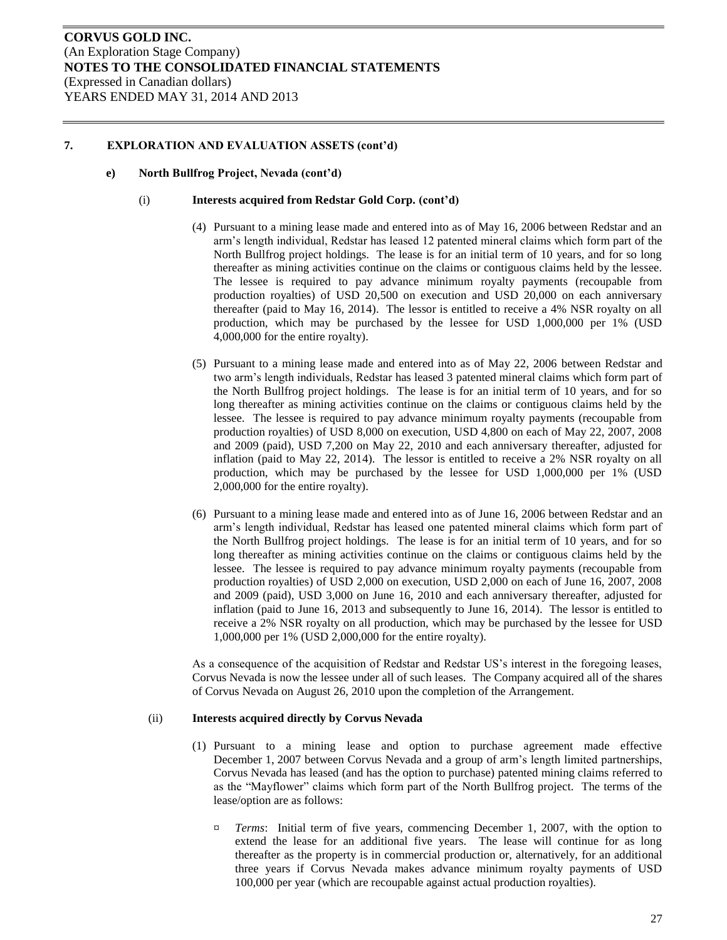#### **e) North Bullfrog Project, Nevada (cont'd)**

#### (i) **Interests acquired from Redstar Gold Corp. (cont'd)**

- (4) Pursuant to a mining lease made and entered into as of May 16, 2006 between Redstar and an arm's length individual, Redstar has leased 12 patented mineral claims which form part of the North Bullfrog project holdings. The lease is for an initial term of 10 years, and for so long thereafter as mining activities continue on the claims or contiguous claims held by the lessee. The lessee is required to pay advance minimum royalty payments (recoupable from production royalties) of USD 20,500 on execution and USD 20,000 on each anniversary thereafter (paid to May 16, 2014). The lessor is entitled to receive a 4% NSR royalty on all production, which may be purchased by the lessee for USD 1,000,000 per 1% (USD 4,000,000 for the entire royalty).
- (5) Pursuant to a mining lease made and entered into as of May 22, 2006 between Redstar and two arm's length individuals, Redstar has leased 3 patented mineral claims which form part of the North Bullfrog project holdings. The lease is for an initial term of 10 years, and for so long thereafter as mining activities continue on the claims or contiguous claims held by the lessee. The lessee is required to pay advance minimum royalty payments (recoupable from production royalties) of USD 8,000 on execution, USD 4,800 on each of May 22, 2007, 2008 and 2009 (paid), USD 7,200 on May 22, 2010 and each anniversary thereafter, adjusted for inflation (paid to May 22, 2014). The lessor is entitled to receive a 2% NSR royalty on all production, which may be purchased by the lessee for USD 1,000,000 per 1% (USD 2,000,000 for the entire royalty).
- (6) Pursuant to a mining lease made and entered into as of June 16, 2006 between Redstar and an arm's length individual, Redstar has leased one patented mineral claims which form part of the North Bullfrog project holdings. The lease is for an initial term of 10 years, and for so long thereafter as mining activities continue on the claims or contiguous claims held by the lessee. The lessee is required to pay advance minimum royalty payments (recoupable from production royalties) of USD 2,000 on execution, USD 2,000 on each of June 16, 2007, 2008 and 2009 (paid), USD 3,000 on June 16, 2010 and each anniversary thereafter, adjusted for inflation (paid to June 16, 2013 and subsequently to June 16, 2014). The lessor is entitled to receive a 2% NSR royalty on all production, which may be purchased by the lessee for USD 1,000,000 per 1% (USD 2,000,000 for the entire royalty).

As a consequence of the acquisition of Redstar and Redstar US's interest in the foregoing leases, Corvus Nevada is now the lessee under all of such leases. The Company acquired all of the shares of Corvus Nevada on August 26, 2010 upon the completion of the Arrangement.

#### (ii) **Interests acquired directly by Corvus Nevada**

- (1) Pursuant to a mining lease and option to purchase agreement made effective December 1, 2007 between Corvus Nevada and a group of arm's length limited partnerships, Corvus Nevada has leased (and has the option to purchase) patented mining claims referred to as the "Mayflower" claims which form part of the North Bullfrog project. The terms of the lease/option are as follows:
	- ¤ *Terms*: Initial term of five years, commencing December 1, 2007, with the option to extend the lease for an additional five years. The lease will continue for as long thereafter as the property is in commercial production or, alternatively, for an additional three years if Corvus Nevada makes advance minimum royalty payments of USD 100,000 per year (which are recoupable against actual production royalties).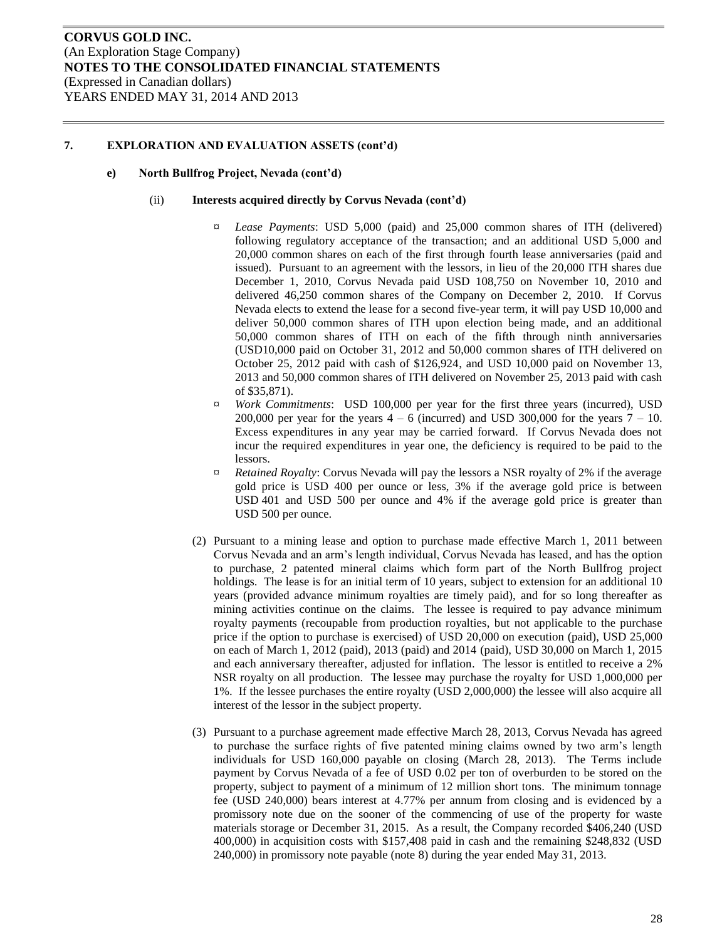#### **e) North Bullfrog Project, Nevada (cont'd)**

#### (ii) **Interests acquired directly by Corvus Nevada (cont'd)**

- ¤ *Lease Payments*: USD 5,000 (paid) and 25,000 common shares of ITH (delivered) following regulatory acceptance of the transaction; and an additional USD 5,000 and 20,000 common shares on each of the first through fourth lease anniversaries (paid and issued). Pursuant to an agreement with the lessors, in lieu of the 20,000 ITH shares due December 1, 2010, Corvus Nevada paid USD 108,750 on November 10, 2010 and delivered 46,250 common shares of the Company on December 2, 2010. If Corvus Nevada elects to extend the lease for a second five-year term, it will pay USD 10,000 and deliver 50,000 common shares of ITH upon election being made, and an additional 50,000 common shares of ITH on each of the fifth through ninth anniversaries (USD10,000 paid on October 31, 2012 and 50,000 common shares of ITH delivered on October 25, 2012 paid with cash of \$126,924, and USD 10,000 paid on November 13, 2013 and 50,000 common shares of ITH delivered on November 25, 2013 paid with cash of \$35,871).
- ¤ *Work Commitments*: USD 100,000 per year for the first three years (incurred), USD 200,000 per year for the years  $4 - 6$  (incurred) and USD 300,000 for the years  $7 - 10$ . Excess expenditures in any year may be carried forward. If Corvus Nevada does not incur the required expenditures in year one, the deficiency is required to be paid to the lessors.
- ¤ *Retained Royalty*: Corvus Nevada will pay the lessors a NSR royalty of 2% if the average gold price is USD 400 per ounce or less, 3% if the average gold price is between USD 401 and USD 500 per ounce and 4% if the average gold price is greater than USD 500 per ounce.
- (2) Pursuant to a mining lease and option to purchase made effective March 1, 2011 between Corvus Nevada and an arm's length individual, Corvus Nevada has leased, and has the option to purchase, 2 patented mineral claims which form part of the North Bullfrog project holdings. The lease is for an initial term of 10 years, subject to extension for an additional 10 years (provided advance minimum royalties are timely paid), and for so long thereafter as mining activities continue on the claims. The lessee is required to pay advance minimum royalty payments (recoupable from production royalties, but not applicable to the purchase price if the option to purchase is exercised) of USD 20,000 on execution (paid), USD 25,000 on each of March 1, 2012 (paid), 2013 (paid) and 2014 (paid), USD 30,000 on March 1, 2015 and each anniversary thereafter, adjusted for inflation. The lessor is entitled to receive a 2% NSR royalty on all production. The lessee may purchase the royalty for USD 1,000,000 per 1%. If the lessee purchases the entire royalty (USD 2,000,000) the lessee will also acquire all interest of the lessor in the subject property.
- (3) Pursuant to a purchase agreement made effective March 28, 2013, Corvus Nevada has agreed to purchase the surface rights of five patented mining claims owned by two arm's length individuals for USD 160,000 payable on closing (March 28, 2013). The Terms include payment by Corvus Nevada of a fee of USD 0.02 per ton of overburden to be stored on the property, subject to payment of a minimum of 12 million short tons. The minimum tonnage fee (USD 240,000) bears interest at 4.77% per annum from closing and is evidenced by a promissory note due on the sooner of the commencing of use of the property for waste materials storage or December 31, 2015. As a result, the Company recorded \$406,240 (USD 400,000) in acquisition costs with \$157,408 paid in cash and the remaining \$248,832 (USD 240,000) in promissory note payable (note 8) during the year ended May 31, 2013.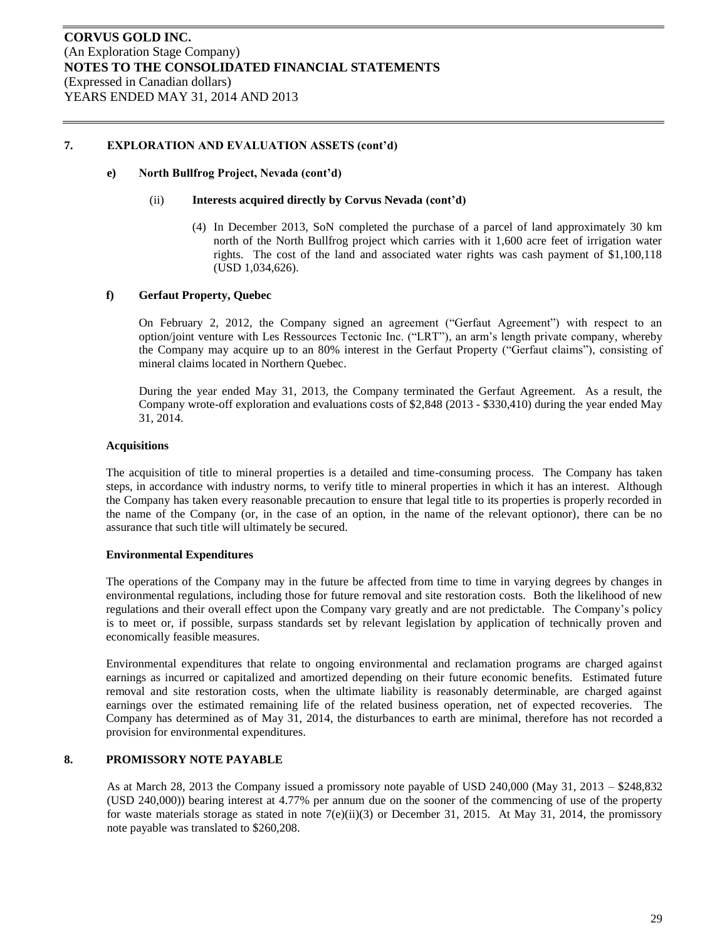#### **e) North Bullfrog Project, Nevada (cont'd)**

#### (ii) **Interests acquired directly by Corvus Nevada (cont'd)**

(4) In December 2013, SoN completed the purchase of a parcel of land approximately 30 km north of the North Bullfrog project which carries with it 1,600 acre feet of irrigation water rights. The cost of the land and associated water rights was cash payment of \$1,100,118 (USD 1,034,626).

### **f) Gerfaut Property, Quebec**

On February 2, 2012, the Company signed an agreement ("Gerfaut Agreement") with respect to an option/joint venture with Les Ressources Tectonic Inc. ("LRT"), an arm's length private company, whereby the Company may acquire up to an 80% interest in the Gerfaut Property ("Gerfaut claims"), consisting of mineral claims located in Northern Quebec.

During the year ended May 31, 2013, the Company terminated the Gerfaut Agreement. As a result, the Company wrote-off exploration and evaluations costs of \$2,848 (2013 - \$330,410) during the year ended May 31, 2014.

#### **Acquisitions**

The acquisition of title to mineral properties is a detailed and time-consuming process. The Company has taken steps, in accordance with industry norms, to verify title to mineral properties in which it has an interest. Although the Company has taken every reasonable precaution to ensure that legal title to its properties is properly recorded in the name of the Company (or, in the case of an option, in the name of the relevant optionor), there can be no assurance that such title will ultimately be secured.

### **Environmental Expenditures**

The operations of the Company may in the future be affected from time to time in varying degrees by changes in environmental regulations, including those for future removal and site restoration costs. Both the likelihood of new regulations and their overall effect upon the Company vary greatly and are not predictable. The Company's policy is to meet or, if possible, surpass standards set by relevant legislation by application of technically proven and economically feasible measures.

Environmental expenditures that relate to ongoing environmental and reclamation programs are charged against earnings as incurred or capitalized and amortized depending on their future economic benefits. Estimated future removal and site restoration costs, when the ultimate liability is reasonably determinable, are charged against earnings over the estimated remaining life of the related business operation, net of expected recoveries. The Company has determined as of May 31, 2014, the disturbances to earth are minimal, therefore has not recorded a provision for environmental expenditures.

### **8. PROMISSORY NOTE PAYABLE**

As at March 28, 2013 the Company issued a promissory note payable of USD 240,000 (May 31, 2013 – \$248,832 (USD 240,000)) bearing interest at 4.77% per annum due on the sooner of the commencing of use of the property for waste materials storage as stated in note  $7(e)$ (ii)(3) or December 31, 2015. At May 31, 2014, the promissory note payable was translated to \$260,208.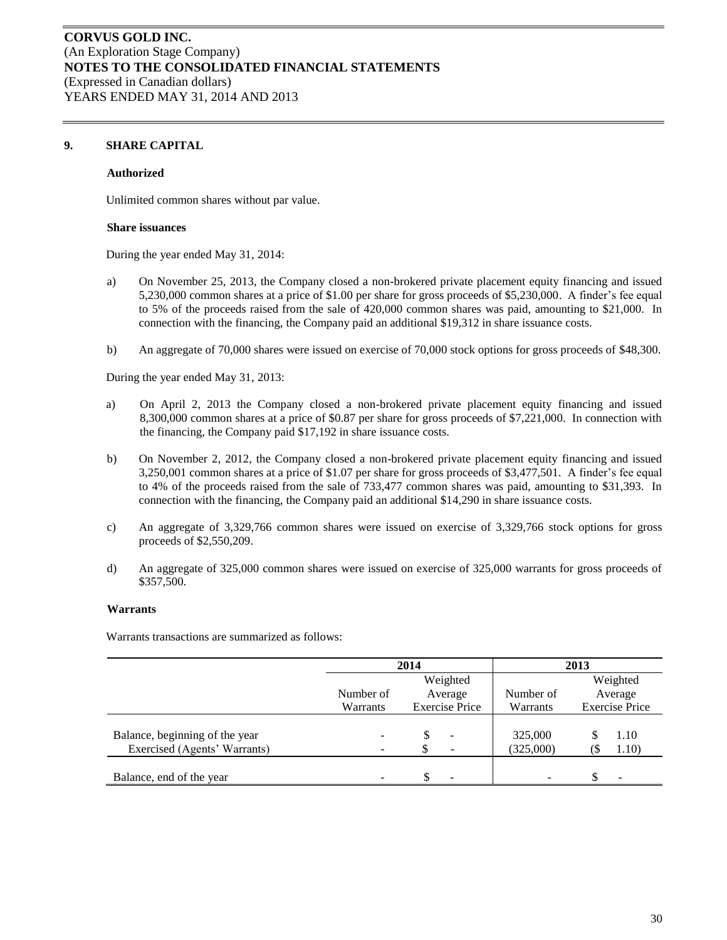### **9. SHARE CAPITAL**

#### **Authorized**

Unlimited common shares without par value.

#### **Share issuances**

During the year ended May 31, 2014:

- a) On November 25, 2013, the Company closed a non-brokered private placement equity financing and issued 5,230,000 common shares at a price of \$1.00 per share for gross proceeds of \$5,230,000. A finder's fee equal to 5% of the proceeds raised from the sale of 420,000 common shares was paid, amounting to \$21,000. In connection with the financing, the Company paid an additional \$19,312 in share issuance costs.
- b) An aggregate of 70,000 shares were issued on exercise of 70,000 stock options for gross proceeds of \$48,300.

During the year ended May 31, 2013:

- a) On April 2, 2013 the Company closed a non-brokered private placement equity financing and issued 8,300,000 common shares at a price of \$0.87 per share for gross proceeds of \$7,221,000. In connection with the financing, the Company paid \$17,192 in share issuance costs.
- b) On November 2, 2012, the Company closed a non-brokered private placement equity financing and issued 3,250,001 common shares at a price of \$1.07 per share for gross proceeds of \$3,477,501. A finder's fee equal to 4% of the proceeds raised from the sale of 733,477 common shares was paid, amounting to \$31,393. In connection with the financing, the Company paid an additional \$14,290 in share issuance costs.
- c) An aggregate of 3,329,766 common shares were issued on exercise of 3,329,766 stock options for gross proceeds of \$2,550,209.
- d) An aggregate of 325,000 common shares were issued on exercise of 325,000 warrants for gross proceeds of \$357,500.

#### **Warrants**

Warrants transactions are summarized as follows:

|                                |           | 2014                     | 2013                     |                       |  |
|--------------------------------|-----------|--------------------------|--------------------------|-----------------------|--|
|                                |           | Weighted                 |                          | Weighted              |  |
|                                | Number of | Average                  | Number of                | Average               |  |
|                                | Warrants  | <b>Exercise Price</b>    | Warrants                 | <b>Exercise Price</b> |  |
|                                |           |                          |                          |                       |  |
| Balance, beginning of the year |           | $\overline{\phantom{a}}$ | 325,000                  | 1.10                  |  |
| Exercised (Agents' Warrants)   |           | $\overline{\phantom{a}}$ | (325,000)                | 1.10)                 |  |
|                                |           |                          |                          |                       |  |
| Balance, end of the year       |           | $\overline{\phantom{a}}$ | $\overline{\phantom{a}}$ | -                     |  |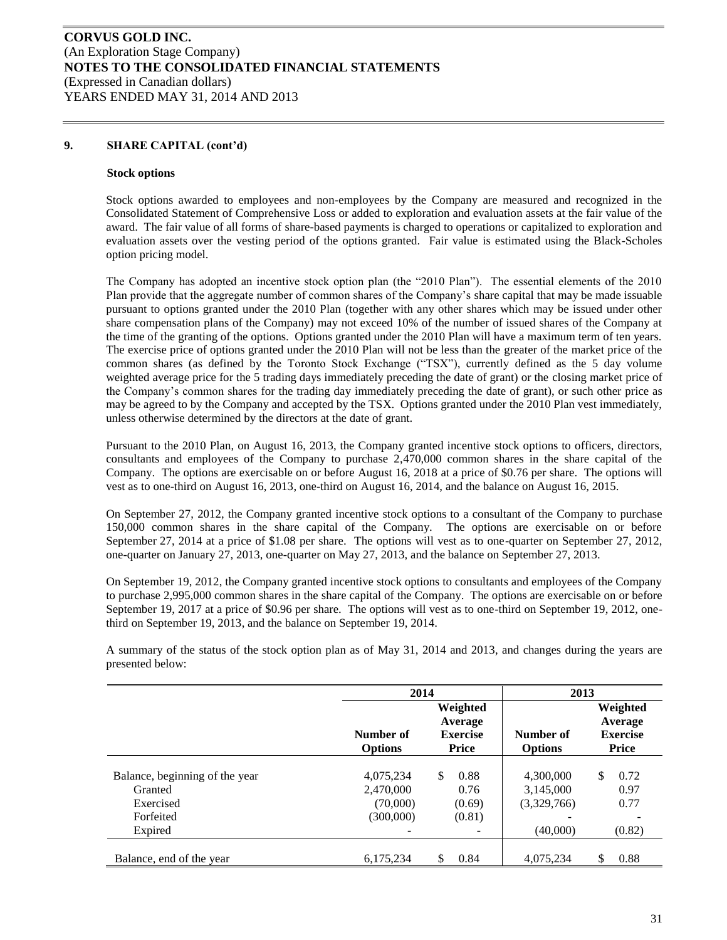### **9. SHARE CAPITAL (cont'd)**

#### **Stock options**

Stock options awarded to employees and non-employees by the Company are measured and recognized in the Consolidated Statement of Comprehensive Loss or added to exploration and evaluation assets at the fair value of the award. The fair value of all forms of share-based payments is charged to operations or capitalized to exploration and evaluation assets over the vesting period of the options granted. Fair value is estimated using the Black-Scholes option pricing model.

The Company has adopted an incentive stock option plan (the "2010 Plan"). The essential elements of the 2010 Plan provide that the aggregate number of common shares of the Company's share capital that may be made issuable pursuant to options granted under the 2010 Plan (together with any other shares which may be issued under other share compensation plans of the Company) may not exceed 10% of the number of issued shares of the Company at the time of the granting of the options. Options granted under the 2010 Plan will have a maximum term of ten years. The exercise price of options granted under the 2010 Plan will not be less than the greater of the market price of the common shares (as defined by the Toronto Stock Exchange ("TSX"), currently defined as the 5 day volume weighted average price for the 5 trading days immediately preceding the date of grant) or the closing market price of the Company's common shares for the trading day immediately preceding the date of grant), or such other price as may be agreed to by the Company and accepted by the TSX. Options granted under the 2010 Plan vest immediately, unless otherwise determined by the directors at the date of grant.

Pursuant to the 2010 Plan, on August 16, 2013, the Company granted incentive stock options to officers, directors, consultants and employees of the Company to purchase 2,470,000 common shares in the share capital of the Company. The options are exercisable on or before August 16, 2018 at a price of \$0.76 per share. The options will vest as to one-third on August 16, 2013, one-third on August 16, 2014, and the balance on August 16, 2015.

On September 27, 2012, the Company granted incentive stock options to a consultant of the Company to purchase 150,000 common shares in the share capital of the Company. The options are exercisable on or before September 27, 2014 at a price of \$1.08 per share. The options will vest as to one-quarter on September 27, 2012, one-quarter on January 27, 2013, one-quarter on May 27, 2013, and the balance on September 27, 2013.

On September 19, 2012, the Company granted incentive stock options to consultants and employees of the Company to purchase 2,995,000 common shares in the share capital of the Company. The options are exercisable on or before September 19, 2017 at a price of \$0.96 per share. The options will vest as to one-third on September 19, 2012, onethird on September 19, 2013, and the balance on September 19, 2014.

A summary of the status of the stock option plan as of May 31, 2014 and 2013, and changes during the years are presented below:

|                                                                                | 2014                                            |                                                 | 2013                                              |                                                        |
|--------------------------------------------------------------------------------|-------------------------------------------------|-------------------------------------------------|---------------------------------------------------|--------------------------------------------------------|
|                                                                                | Number of<br><b>Options</b>                     | Weighted<br>Average<br><b>Exercise</b><br>Price | Number of<br><b>Options</b>                       | Weighted<br>Average<br><b>Exercise</b><br><b>Price</b> |
| Balance, beginning of the year<br>Granted<br>Exercised<br>Forfeited<br>Expired | 4,075,234<br>2,470,000<br>(70,000)<br>(300,000) | \$.<br>0.88<br>0.76<br>(0.69)<br>(0.81)         | 4.300,000<br>3,145,000<br>(3,329,766)<br>(40,000) | \$<br>0.72<br>0.97<br>0.77<br>(0.82)                   |
| Balance, end of the year                                                       | 6,175,234                                       | 0.84<br>\$                                      | 4,075,234                                         | \$<br>0.88                                             |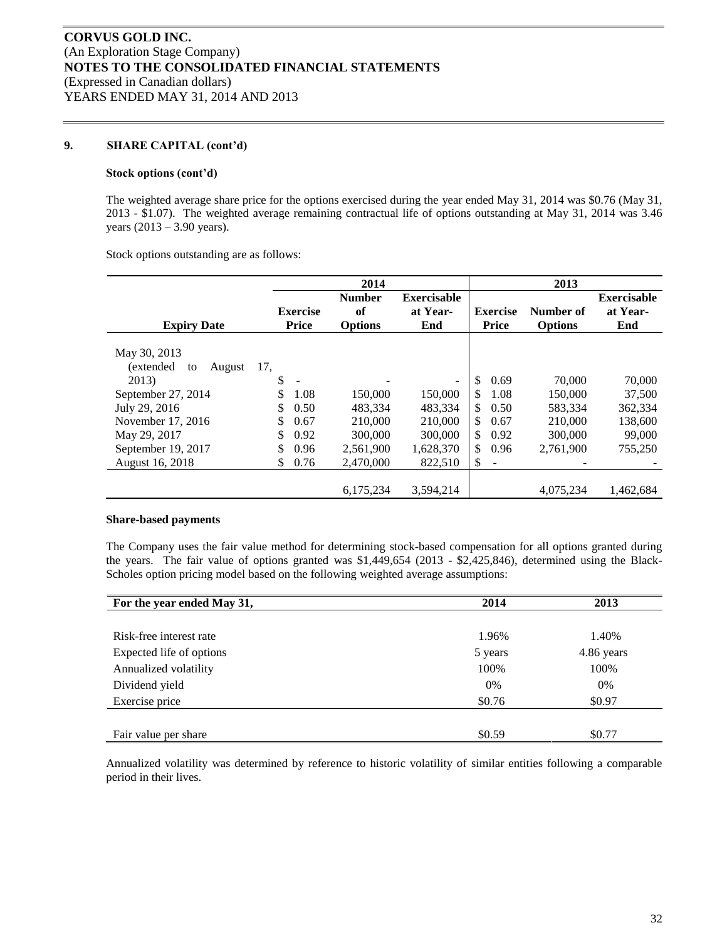### **9. SHARE CAPITAL (cont'd)**

#### **Stock options (cont'd)**

The weighted average share price for the options exercised during the year ended May 31, 2014 was \$0.76 (May 31, 2013 - \$1.07). The weighted average remaining contractual life of options outstanding at May 31, 2014 was 3.46 years (2013 – 3.90 years).

Stock options outstanding are as follows:

|                                   |                 | 2014           |                    |                                | 2013           |                    |
|-----------------------------------|-----------------|----------------|--------------------|--------------------------------|----------------|--------------------|
|                                   |                 | <b>Number</b>  | <b>Exercisable</b> |                                |                | <b>Exercisable</b> |
|                                   | <b>Exercise</b> | of             | at Year-           | <b>Exercise</b>                | Number of      | at Year-           |
| <b>Expiry Date</b>                | <b>Price</b>    | <b>Options</b> | End                | Price                          | <b>Options</b> | End                |
| May 30, 2013                      |                 |                |                    |                                |                |                    |
| <i>(extended)</i><br>August<br>to | 17.             |                |                    |                                |                |                    |
| 2013)                             | \$              |                | $\sim$             | <sup>\$</sup><br>0.69          | 70,000         | 70,000             |
| September 27, 2014                | \$<br>1.08      | 150,000        | 150,000            | \$.<br>1.08                    | 150,000        | 37,500             |
| July 29, 2016                     | \$<br>0.50      | 483.334        | 483.334            | \$.<br>0.50                    | 583,334        | 362,334            |
| November 17, 2016                 | \$.<br>0.67     | 210,000        | 210,000            | \$<br>0.67                     | 210,000        | 138,600            |
| May 29, 2017                      | \$<br>0.92      | 300,000        | 300,000            | \$<br>0.92                     | 300,000        | 99,000             |
| September 19, 2017                | \$<br>0.96      | 2,561,900      | 1,628,370          | \$.<br>0.96                    | 2,761,900      | 755,250            |
| August 16, 2018                   | 0.76<br>S.      | 2,470,000      | 822,510            | \$<br>$\overline{\phantom{a}}$ |                |                    |
|                                   |                 | 6,175,234      | 3,594,214          |                                | 4,075,234      | 1,462,684          |

#### **Share-based payments**

The Company uses the fair value method for determining stock-based compensation for all options granted during the years. The fair value of options granted was \$1,449,654 (2013 - \$2,425,846), determined using the Black-Scholes option pricing model based on the following weighted average assumptions:

| For the year ended May 31, | 2014    | 2013       |
|----------------------------|---------|------------|
|                            |         |            |
| Risk-free interest rate    | 1.96%   | 1.40%      |
| Expected life of options   | 5 years | 4.86 years |
| Annualized volatility      | 100%    | 100%       |
| Dividend yield             | $0\%$   | $0\%$      |
| Exercise price             | \$0.76  | \$0.97     |
|                            |         |            |
| Fair value per share       | \$0.59  | \$0.77     |

Annualized volatility was determined by reference to historic volatility of similar entities following a comparable period in their lives.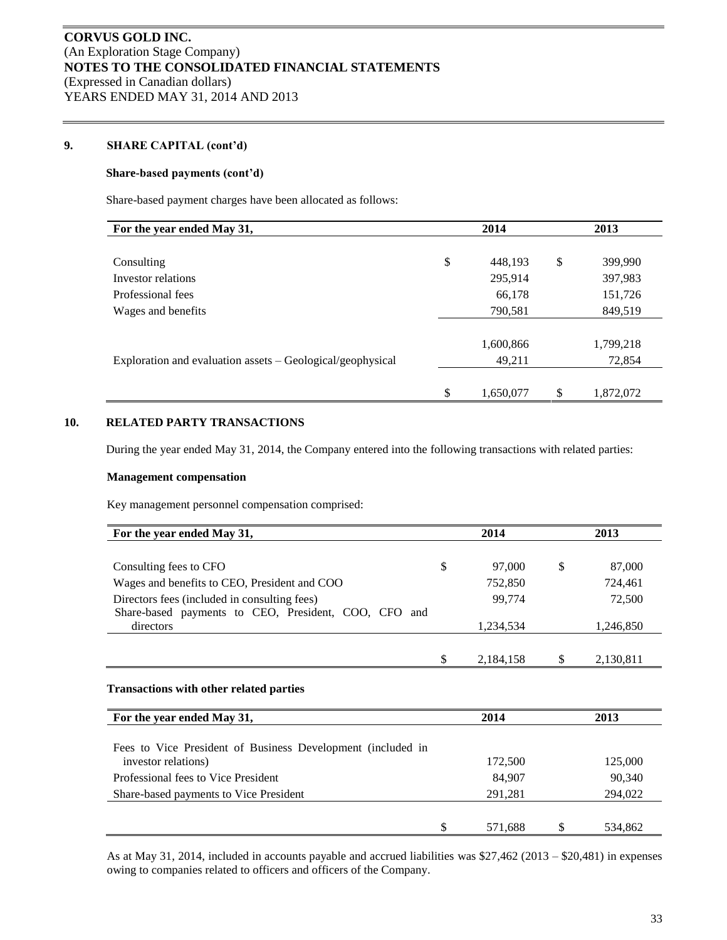# **9. SHARE CAPITAL (cont'd)**

### **Share-based payments (cont'd)**

Share-based payment charges have been allocated as follows:

| For the year ended May 31,                                 | 2014            |              | 2013      |
|------------------------------------------------------------|-----------------|--------------|-----------|
|                                                            |                 |              |           |
| Consulting                                                 | \$<br>448,193   | \$           | 399,990   |
| Investor relations                                         | 295,914         |              | 397,983   |
| Professional fees                                          | 66,178          |              | 151,726   |
| Wages and benefits                                         | 790,581         |              | 849,519   |
|                                                            |                 |              |           |
|                                                            | 1,600,866       |              | 1,799,218 |
| Exploration and evaluation assets – Geological/geophysical | 49,211          |              | 72,854    |
|                                                            |                 |              |           |
|                                                            | \$<br>1,650,077 | $\mathbb{S}$ | 1,872,072 |

### **10. RELATED PARTY TRANSACTIONS**

During the year ended May 31, 2014, the Company entered into the following transactions with related parties:

### **Management compensation**

Key management personnel compensation comprised:

| For the year ended May 31,                                                         | 2014            |    | 2013      |
|------------------------------------------------------------------------------------|-----------------|----|-----------|
|                                                                                    |                 |    |           |
| Consulting fees to CFO                                                             | \$<br>97,000    | \$ | 87,000    |
| Wages and benefits to CEO, President and COO                                       | 752,850         |    | 724,461   |
| Directors fees (included in consulting fees)                                       | 99,774          |    | 72,500    |
| Share-based payments to CEO, President, COO, CFO and                               |                 |    |           |
| directors                                                                          | 1,234,534       |    | 1,246,850 |
|                                                                                    |                 |    |           |
|                                                                                    | \$<br>2,184,158 | S  | 2,130,811 |
| <b>Transactions with other related parties</b><br>For the year ended May 31,       | 2014            |    | 2013      |
| Fees to Vice President of Business Development (included in<br>investor relations) | 172,500         |    | 125,000   |
| Professional fees to Vice President                                                | 84,907          |    | 90,340    |
| Share-based payments to Vice President                                             | 291,281         |    | 294,022   |
|                                                                                    |                 |    |           |
|                                                                                    | \$<br>571,688   | S  | 534,862   |

As at May 31, 2014, included in accounts payable and accrued liabilities was \$27,462 (2013 – \$20,481) in expenses owing to companies related to officers and officers of the Company.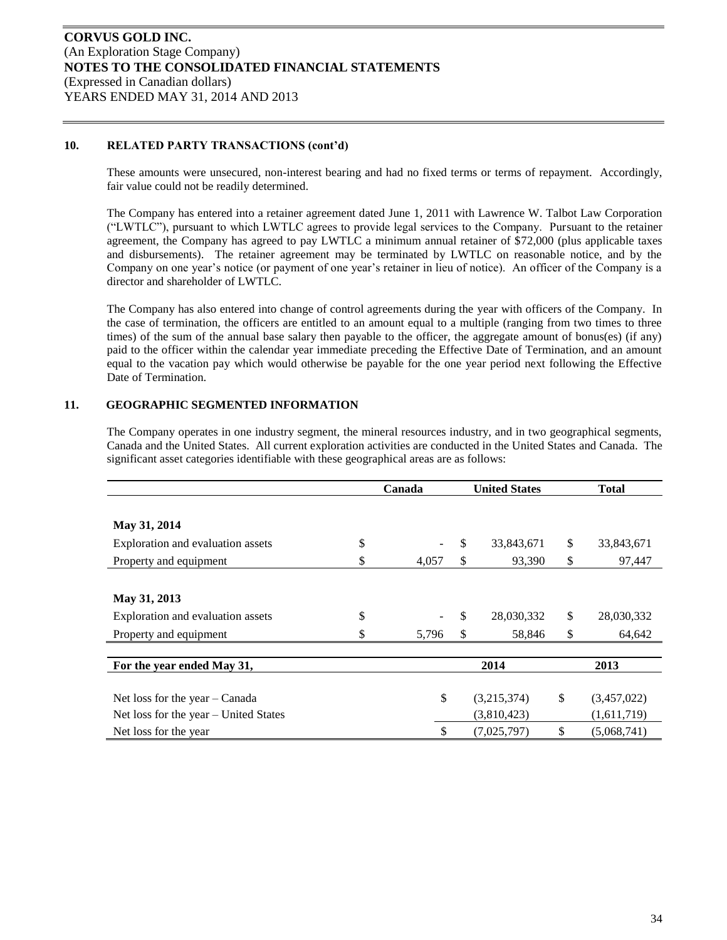### **10. RELATED PARTY TRANSACTIONS (cont'd)**

These amounts were unsecured, non-interest bearing and had no fixed terms or terms of repayment. Accordingly, fair value could not be readily determined.

The Company has entered into a retainer agreement dated June 1, 2011 with Lawrence W. Talbot Law Corporation ("LWTLC"), pursuant to which LWTLC agrees to provide legal services to the Company. Pursuant to the retainer agreement, the Company has agreed to pay LWTLC a minimum annual retainer of \$72,000 (plus applicable taxes and disbursements). The retainer agreement may be terminated by LWTLC on reasonable notice, and by the Company on one year's notice (or payment of one year's retainer in lieu of notice). An officer of the Company is a director and shareholder of LWTLC.

The Company has also entered into change of control agreements during the year with officers of the Company. In the case of termination, the officers are entitled to an amount equal to a multiple (ranging from two times to three times) of the sum of the annual base salary then payable to the officer, the aggregate amount of bonus(es) (if any) paid to the officer within the calendar year immediate preceding the Effective Date of Termination, and an amount equal to the vacation pay which would otherwise be payable for the one year period next following the Effective Date of Termination.

### **11. GEOGRAPHIC SEGMENTED INFORMATION**

The Company operates in one industry segment, the mineral resources industry, and in two geographical segments, Canada and the United States. All current exploration activities are conducted in the United States and Canada. The significant asset categories identifiable with these geographical areas are as follows:

|                                       | Canada      | <b>United States</b> | <b>Total</b>      |
|---------------------------------------|-------------|----------------------|-------------------|
|                                       |             |                      |                   |
| May 31, 2014                          |             |                      |                   |
| Exploration and evaluation assets     | \$          | \$<br>33,843,671     | \$<br>33,843,671  |
| Property and equipment                | \$<br>4,057 | \$<br>93,390         | \$<br>97,447      |
|                                       |             |                      |                   |
| May 31, 2013                          |             |                      |                   |
| Exploration and evaluation assets     | \$          | \$<br>28,030,332     | \$<br>28,030,332  |
| Property and equipment                | 5,796       | \$<br>58,846         | \$<br>64,642      |
|                                       |             |                      |                   |
| For the year ended May 31,            |             | 2014                 | 2013              |
|                                       |             |                      |                   |
| Net loss for the year $-$ Canada      | \$          | (3,215,374)          | \$<br>(3,457,022) |
| Net loss for the year - United States |             | (3,810,423)          | (1,611,719)       |
| Net loss for the year                 |             | (7,025,797)          | \$<br>(5,068,741) |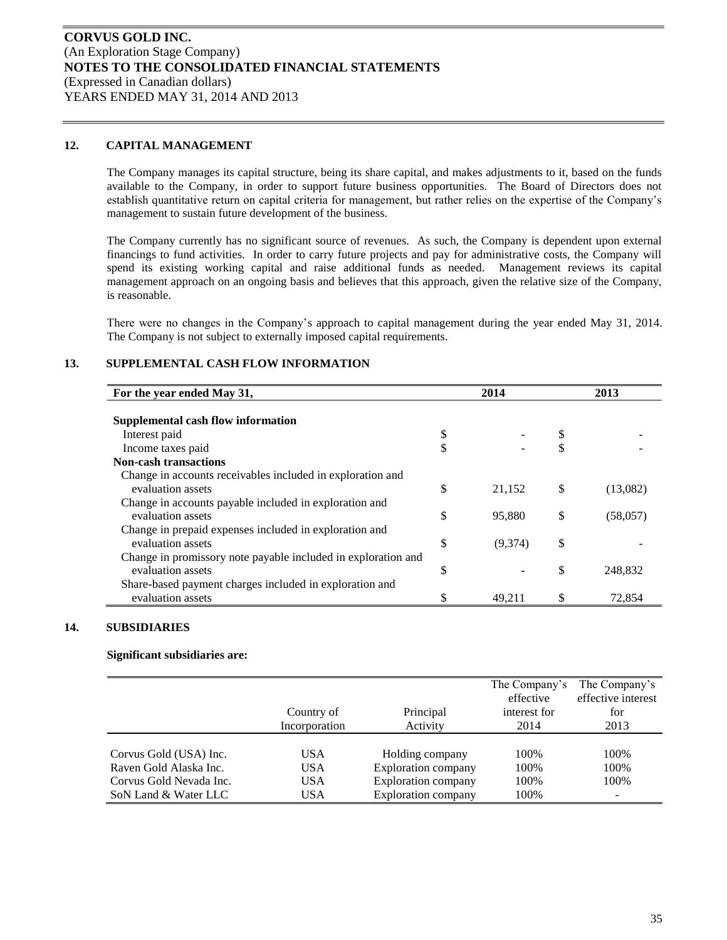### **12. CAPITAL MANAGEMENT**

The Company manages its capital structure, being its share capital, and makes adjustments to it, based on the funds available to the Company, in order to support future business opportunities. The Board of Directors does not establish quantitative return on capital criteria for management, but rather relies on the expertise of the Company's management to sustain future development of the business.

The Company currently has no significant source of revenues. As such, the Company is dependent upon external financings to fund activities. In order to carry future projects and pay for administrative costs, the Company will spend its existing working capital and raise additional funds as needed. Management reviews its capital management approach on an ongoing basis and believes that this approach, given the relative size of the Company, is reasonable.

There were no changes in the Company's approach to capital management during the year ended May 31, 2014. The Company is not subject to externally imposed capital requirements.

### **13. SUPPLEMENTAL CASH FLOW INFORMATION**

| For the year ended May 31,                                    | 2014          | 2013           |
|---------------------------------------------------------------|---------------|----------------|
|                                                               |               |                |
| Supplemental cash flow information                            |               |                |
| Interest paid                                                 | \$            |                |
| Income taxes paid                                             | \$            |                |
| <b>Non-cash transactions</b>                                  |               |                |
| Change in accounts receivables included in exploration and    |               |                |
| evaluation assets                                             | \$<br>21,152  | \$<br>(13,082) |
| Change in accounts payable included in exploration and        |               |                |
| evaluation assets                                             | \$<br>95,880  | \$<br>(58,057) |
| Change in prepaid expenses included in exploration and        |               |                |
| evaluation assets                                             | \$<br>(9,374) | \$             |
| Change in promissory note payable included in exploration and |               |                |
| evaluation assets                                             | \$            | \$<br>248.832  |
| Share-based payment charges included in exploration and       |               |                |
| evaluation assets                                             | 49,211        | 72,854         |

### **14. SUBSIDIARIES**

#### **Significant subsidiaries are:**

|                         |               |                            | The Company's<br>effective | The Company's<br>effective interest |
|-------------------------|---------------|----------------------------|----------------------------|-------------------------------------|
|                         | Country of    | Principal                  | interest for               | for                                 |
|                         | Incorporation | Activity                   | 2014                       | 2013                                |
|                         |               |                            |                            |                                     |
| Corvus Gold (USA) Inc.  | USA           | Holding company            | 100%                       | 100\%                               |
| Raven Gold Alaska Inc.  | USA           | <b>Exploration company</b> | 100\%                      | 100\%                               |
| Corvus Gold Nevada Inc. | USA           | <b>Exploration company</b> | 100\%                      | 100\%                               |
| SoN Land & Water LLC    | USA           | <b>Exploration company</b> | 100%                       | $\overline{\phantom{0}}$            |